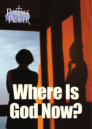

# Where Is God Now?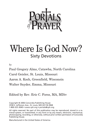

## Where Is God Now? Sixty Devotions

*by*

Paul Gregory Alms, Catawba, North Carolina

Carol Geisler, St. Louis, Missouri

Aaron A. Koch, Greenfield, Wisconsin

Walter Snyder, Emma, Missouri

Edited by Rev. Eric C. Forss, MA, MDiv

Copyright © 2006 Concordia Publishing House 3558 S. Jefferson Ave., St. Louis, MO 63118-3968 1-800-325-3040 • www.cph.org • portals@cph.org

All rights reserved. No part of this publication may be reproduced, stored in a retrieval system, or transmitted, in any form or by any means, electronic, mechanical, photocopying, recording, or otherwise, without prior written permission of Concordia Publishing House.

Manufactured in the United States of America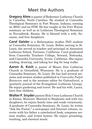#### Meet the Authors

**Gregory Alms** is pastor of Redeemer Lutheran Church in Catawba, North Carolina. He studied at Concordia Theological Seminary in Fort Wayne, Indiana, earning an MDiv and an STM. He has taught at the Fort Wayne seminary as well as at Lutheran Theological Seminary in Novosibirsk, Russia. He is blessed with a wife, Suzanne, and four daughters.

**Carol Geisler** is a Reformation studies PhD student at Concordia Seminary, St. Louis. Before moving to St. Louis, she served as teacher and principal at Ascension Lutheran School, Torrance, California. Carol graduated from Concordia Teachers College, Seward, Nebraska, and Concordia University, Irvine, California. She enjoys reading, drawing, and taking her dog for long walks.

**Aaron A. Koch** is pastor of Mount Zion Lutheran Church in Greenfield, Wisconsin. He is a graduate of Concordia Seminary, St. Louis. He has had several sermons and sermon studies published in *Concordia Pulpit Resources* and is the sermons editor for *Gottesdienst*, a quarterly journal of the Evangelical–Lutheran Liturgy. He enjoys gardening and travel. He and his wife, Laura, have four children.

**Walter P. Snyder** pastors Holy Cross Lutheran Church in Emma, Missouri. Married to Stephanie and with two daughters, he enjoys family time and reads voraciously. A graduate of Concordia Seminary, St. Louis, he writes "Ask the Pastor," a newspaper and Internet column, cowrote with his father a catechetical book, composes sermon studies, and writes hymns. He enjoys preaching, teaching, and classical music.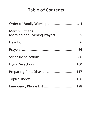## Table of Contents

| <b>Martin Luther's</b><br>Morning and Evening Prayers  5 |
|----------------------------------------------------------|
|                                                          |
|                                                          |
|                                                          |
|                                                          |
| Preparing for a Disaster  117                            |
|                                                          |
|                                                          |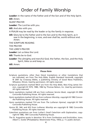## Order of Family Worship

Leader: In the name of the Father and of the Son and of the Holy Spirit.

All: Amen.

SILENT PRAYER

Leader: The Lord be with you.

All: And also with you.

A PSALM may be read by the leader or by the family in response.

All: Glory be to the Father and to the Son and to the Holy Spirit, as it was in the beginning, is now, and ever shall be, world without end. Amen.

THE SCRIPTURE READING

THE PRAYER

THE LORD'S PRAYER

Leader: Let us bless the Lord.

All: Thanks be to God.

Leader: The almighty and merciful God, the Father, the Son, and the Holy Spirit, bless us and keep us.

All: Amen.

#### **Please Note**

- Scripture quotations, other than literal translations or other translations that are indicated, are from The Holy Bible, English Standard Version®, copyright © 2001 by Crossway Bibles, a publishing ministry of Good News Publishers, Wheaton, Illinois. Used by permission. All rights reserved.
- Scripture quotations marked NKJV are from the Holy Bible, New King James Version, copyright © 1979, 1980, 1982 by Thomas Nelson, Inc. Used by permission. All rights reserved.
- Hymn quotations marked *LSB* are from *Lutheran Service Book*, copyright © 2006 Concordia Publishing House. All rights reserved.
- Hymn quotations marked *LW* are from *Lutheran Worship*, copyright © 1982 Concordia Publishing House. All rights reserved.
- Hymn quotations marked *TLH* are from *The Lutheran Hymnal*, copyright © 1941 Concordia Publishing House.
- Hymns 95, 344, and 423 from *Lutheran Worship* are copyright © 1982 Concordia Publishing House. All rights reserved.
- Catechism quotations are from *Luther's Small Catechism with Explanation*, copyright © 1986, 1991 Concordia Publishing House.
- The St. Augustine quote in devotion 18 is from *Confessions and Enchiridion*, trans. Albert C. Outler (Philadelphia: Westminster Press, 1955), p. 11; public domain.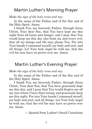#### Martin Luther's Morning Prayer

*Make the sign of the holy cross and say*:

In the name of the Father and of the Son and of the Holy Spirit. Amen.

I thank You, my heavenly Father, through Jesus Christ, Your dear Son, that You have kept me this night from all harm and danger; and I pray that You would keep me this day also from sin and every evil, that all my doings and life may please You. For into Your hands I commend myself, my body and soul, and all things. Let Your holy angel be with me, that the evil foe may have no power over me. Amen.

#### Martin Luther's Evening Prayer

*Make the sign of the holy cross and say*:

In the name of the Father and of the Son and of the Holy Spirit. Amen.

I thank You, my heavenly Father, through Jesus Christ, Your dear Son, that You have graciously kept me this day; and I pray that You would forgive me all my sins where I have done wrong, and graciously keep me this night. For into Your hands I commend myself, my body and soul, and all things. Let Your holy angel be with me, that the evil foe may have no power over me. Amen.

— Quoted from Luther's Small Catechism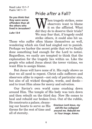Read Luke 13:1–7 Psalm 147:1–11

**Do you think that they were worse offenders than all the others who lived in Jerusalem?** 

all of eternity.

*Luke 13:4*

## Pride *after* a Fall?

When tragedy strikes, some<br>it on the afflicted. What<br>did they do to deserve their trials? observers want to blame it on the afflicted. What did they do to deserve their trials? We may fear that, if tragedy could strike others, it could also hit us.

Those who suffer often blame themselves as well, wondering which sin God had singled out to punish. Perhaps we harbor the secret pride that we've finally done something bad enough for the Lord to notice. Regardless, we easily are tempted to think that the explanation for the tragedy lies within us. Like the people who asked Jesus about the tower victims, we want Him to assign blame.

But Jesus will have none of it. His reply shows us that we all need to repent. Christ calls sufferers and observers alike to repent—not only of particular sins, but also of all wicked thoughts, words, and deeds and to trust Him alone for mercy and salvation.

Our Savior's own world came crashing down around Him. The temple of His body was torn down and then rebuilt on the third day. Now He comes to heal and rebuild our broken lives. Out of the rubble, He constructs a palace, cleansing our hearts to serve as His throne for the rest of time and *Gracious Lord Jesus, my old life has collapsed around me. Rebuild me* 

*in Your image. Amen.*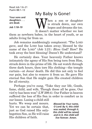Read Job 1:6–21 Psalm 88:1–13

**Your sons and daughters . . . are dead.** 

*Job 1:18–19*

My Baby Is Gone!

When a son or daughter<br>hopes and dreams die too.<br>It doesn't matter whether we lest is struck down, our own hopes and dreams die too. It doesn't matter whether we lost

them as newborn babes, in the heart of youth, or as adults living far from us.

Job remains maddeningly complacent: "The LORD gave, and the LORD has taken away; blessed be the name of the LORD" (Job 1:21). *Bless* God? How? He took away the best blessing! Doesn't He understand?

He certainly does. Your heavenly Father knows intimately the agony of His Son being torn from Him, struck down in the prime of life. He sat watch through three dark hours, then tore His clothing—the temple curtain—at Jesus' death. He did this not only to feel our pain, but also to remove it from us. He gave His eternal Son that He might gain His created children for all eternity.

Perhaps you've sung, "Take they our life, Goods, fame, child, and wife, Though these all be gone, Our vict'ry has been won" (*LW* 298:4). Our Father in heaven suffered the loss of His Son in order to comfort us in our losses. Losing a child still hurts. We weep and mourn. Yet we can be certain that, just as God raised His onlybegotten Son, so He will raise His children of faith. *Blessed be Your name, O Lord: By it, this child was sealed; through it, this child will be raised; and in it, this child will live forever. Amen.*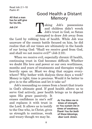Read Job 2:1–10 Psalm 41

> Good Health a Distant Memory

> > and children didn't wreck Job's trust in God, so Satan

**All that a man has he will give for his life.** 

*Job 2:4*

and children didn't wreck<br>Job's trust in God, so Satan<br>attempted to draw Job away from attempted to draw Job away from the Lord by robbing him of health. While Job was unaware of the cosmic battle focused on him, he did realize that all our times are ultimately in the hands of our loving God: "Shall we receive good from God, and shall we not receive evil?" (Job 2:10).

When we receive evil, especially chronic ill health, continuing trust in God becomes difficult. Whether we doubt His love and power or our own worthiness, months and years of treatments and therapies weigh heavily upon us. Must we drag that oxygen everywhere? Why bother with dialysis three days a week? Money is tight; time is precious. Would it be better to give in to the affliction and let it take us?

Job's resounding *no* comes from a heart that trusts in God's ultimate good. If good health allows us to serve God actively, poor health brings us to depend

upon His grace passively. It erases confidence in one's self and replaces it with trust in the Lord. It allows us to testify to the One who, in Christ, gives us strength to continue, weak and weary though we may be.

*As You bless me in times of strength, so You sustain me in times of weakness. Thank You for both of these blessings, dear Lord. Amen.*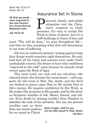Read Job 19:23–27 Psalm 18:1–6

**Oh that my words . . . were engraved in the rock forever! For I know that my Redeemer lives.** 

*Job 19:23–25*

#### Assurance Set in Stone

**Personal, family, and public calamities test the Christian's response to God's** calamities test the Christian's response to God's promises. It's easy to accept His Word in times of plenty, but it's a stiff challenge in times of loss and

need. "Thy will be done," we pray throughout life and then we face accepting what that will determines in our time of suffering.

Job was no cockeyed optimist, hoping against hope that things would somehow right themselves. He realized that all his times and seasons were under God's unshakable control. His desire to have this confidence "engraved in the rock" came because he already stood secure upon the Rock of Ages.

This same Lord, our rock and our salvation—the rejected stone who became the cornerstone—still supports all who trust in Him. Sin, death, and the devil are dashed to pieces upon Him as He stands firm in life's storms. He inspires confidence by His Word, as He makes His promises to His people, and by His deed, as Scripture testifies of Job, Moses, Daniel, and others. Even death by stoning couldn't force Stephen to abandon the rock of his salvation. Nor can our present troubles cast us down from our secure position, *Rock of Ages, cleft for me,* 

for we stand on Christ. *Let me hide myself in Thee. Amen. LW* **361:1**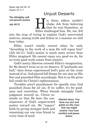Read Job 34:10–15 Psalm 37:1–7

#### Unjust Desserts

**The Almighty will not pervert justice.** 

*Job 34:12*

is three elders couldn't<br>shake Job from believing<br>that he was blameless, so<br>Fliby challenged him He too fell shake Job from believing that he was blameless, so Elihu challenged him. He, too, fell

into the trap of trying to explain God's unrevealed motives, mixing truth and fiction in a manner we still hear today.

Elihu wasn't totally correct when he said, "According to the work of a man He will repay him" (Job 34:11). God's justice is much more severe than Elihu imagined. He cannot repay *any* good we do, for no truly good work comes from sinners.

God's mercy likewise exceeds Elihu's imagination, for He doesn't treat us as we deserve. If "paybacks are hell," then Jesus experienced hell's pain on the cross instead of us. God placed full blame for our sins on His Son and punished Him accordingly. But to us He gives full credit for Christ's righteousness.

Troubles aren't punishment for specific sins; God punished Jesus for *all* sin. If we suffer, it's for guidance and correction. When friends misapply God's judgment toward us, Christ re-

minds us that He bore the consequences of God's unperverted justice toward sin. He "repays" faith by giving stronger faith and remaining our one true friend in every time of need.

*Dearest Jesus, You bore our sins and griefs on the cross that we might receive Your true comfort and peace. Amen.*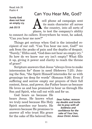Read Job 35 Psalm 4

**Surely God does not hear an empty cry.** 

*Job 35:13*

#### Can You Hear Me, God?

ell phone ad campaign sent<br>its main character all across<br>the country, into all sorts of its main character all across the country, into all sorts of places, to test the company's ability

to connect its callers. Everywhere he went, he asked, "Can you hear me now?"

Things get serious when God is the intended recipient of our call. "Can You hear me now, God?" we ask from the peaks of pain and the depths of despair. "Surely," Elihu said, "God does not hear an empty cry." So how do we know our cry isn't empty? What fills it up, giving it power and clarity to reach the throne of grace?

Scripture answers that Jesus "always lives to make intercession for" those in need (Hebrews 7:25). Joining the Son, "the Spirit Himself intercedes for us with groanings too deep for words" (Romans 8:26). Even if suffering and sorrow empty our prayers of their full content, focus, and power, the Father hears us because He loves us and has promised to hear us through His Son and Spirit, who call out with and for us.

God hears us because He hears Jesus. He knows what we truly need because His Holy Spirit searches our hearts. He answers because He promises to answer all who trust His grace for the sake of His beloved Son.

*Dear Father, remove my doubts and invite me to pray with all boldness and confidence for the sake of Your Son, Jesus Christ. Amen.*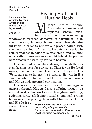Read Job 36:5–16 Psalm 30

**He delivers the afflicted by their affliction and opens their ear by adversity.** 

#### *Job 36:15*

Healing Hurts and Hurting Heals

Modern medical science<br>fixes what's broken and<br>replaces what's miss-<br>ing It also may involve removing fixes what's broken and replaces what's missing. It also may involve removing

whatever is diseased, damaged, or harmful to us. In the same way, God may choose to work through painful trials in order to remove our preoccupation with the passing things of this life. He cuts away pride in self, confidence in earthly relationships, and reliance on worldly possessions so we might behold the permanent treasures stored up for us in heaven.

Lest we think we're alone, Jesus, although He was rich, became poor for our sakes. Then for us He faced agony, abandonment, and loss of all earthly goods. His Word calls us to inherit the blessings He won in His Passion, where His pain paid for our transgressions and His wounds procured our healing.

His holy afflictions sanctify ours. Our pain is given purpose through His. As Jesus' suffering brought us eternal good, so God works good through our suffering, stripping away self-loving attitudes and self-serving behavior and replacing them with Christ's love for us and His desire to serve others in need. *Wash me and take away each stain; Let nothing of my sin remain.* 

*For cleansing, though it be through pain, Christ Crucified, I come. Amen.*

*LW* **356:3**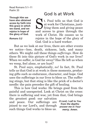Read Romans 5:1–11 Psalm 33

**Through Him we have also obtained access by faith into this grace in which we stand, and we rejoice in hope of the glory of God.** 

*Romans 5:2*

#### God Is at Work

St. Paul tells us that God is at work for Christians, justifying them and giving peace and access to grace through the work of Christ. He causes us to rejoice in the hope of the glory of God. God is a hard worker.

But as we look at our lives, there are other events we notice—loss, death, sickness, lack, and many others. We might call these things *sufferings*. How do these fit into this picture of God's work in our lives? When we suffer, is God far away? Has He left us when we weep, feel alone, or are hurt?

St. Paul says, emphatically, *no*! In fact, St. Paul tells us that God is at work *in* these moments, producing gifts such as endurance, character, and hope. God uses the sufferings in our lives to bless us. The suffering stings, but that sting is like the prick of a doctor's needle: the pain precedes the gift of healing.

This is how God works: He brings good from the painful and unexpected. Look at Christ on the cross: there is suffering and woe; yet from that, God brings the greatest good: our salvation and peace. Our sufferings are joined to our Lord's, and through such things God works to bless us. *O Lord, I call to You from the depths; answer me in Your mercy. Amen.*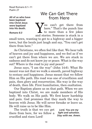Read Romans 6:1–11 Psalm 27

**All of us who have been baptized into Christ Jesus were baptized into His death.** 

*Romans 6:3*

We *Can* Get There from Here

You can't get there from<br>here." That's the punch line<br>to more than a few jokes here." That's the punch line to more than a few jokes and stories. Someone is stuck in a

small town, wanting to get to a highway and a bigger town, but the locals just laugh and say, "You can't get there from here."

As Christians, we often feel like that. We hear talk of heaven and joy and happiness, and we feel as if we can't get there from where we are. We are stuck in sadness and do not know joy or peace. What is the way out? Where is the road to joy and peace?

Jesus says, "I am the way" (John 14:6). What He meant was not that we walk a smooth, paved highway to ecstasy and happiness. Jesus meant that we follow Him on His path. His road was one of crucifixion and pain, then glory and resurrection. His way is the way of death, then life. First humiliation, then exaltation.

Our Baptism places us on that path. When we are baptized into Christ, we are made members of His body. We walk on His path. We first know hardship and pain. God promises that they mark the way to heaven with Jesus. He will never forsake or leave us. He will raise us to be like Him.

The truth is that we *can* get there from here, for we follow a crucified and risen Lord!

*Lord, You are my light and salvation. Stay with me. Amen.*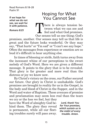Read Romans 8:18–28 Psalm 91

**If we hope for what we do not see, we wait for it with patience.** 

*Romans 8:25*

#### Hoping for What You Cannot See

There is always tension be-<br>tween what we can see and<br>feel and what God promises. tween what we can see and feel and what God promises. Our senses tell us one thing; God's

promises, another. Our senses may tell us that life is great and the future looks wonderful. Or they may say, "That hurts" or "I'm sad" or "I can't see any hope." Often the messages from experience or emotion are so loud it's difficult to hear anything else.

In times of blessing or strife, faith turns away from the incessant whine of our perceptions to the sweet melody of God's Word. Here we are given a different message. It points to the glory that is to be revealed. That glory is far greater and more real than the distress or joy we know now.

By Christ's victory on the cross, our Father secured our future. Our glory in Christ is unshakable. God's promises are brought to reality for us in the Gospel, in the body and blood of Christ in the Supper, and in the Word and water of Baptism. These avenues of promise and proclamation may seem less real than the tears

we cry or the loss we feel, but they have the Word of almighty God behind them. The glory they reveal is permanent, while all our fleeting troubles surely will pass away.

*Lord, thank You for Your promises, which sustain us in the midst of every trouble. Amen.*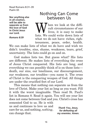Read Romans 8:31–39 Psalm 65

**Nor anything else in all creation, will be able to separate us from the love of God in Christ Jesus our Lord.** 

*Romans 8:39*

#### Nothing Can Come between Us

When we look at the diffi-<br>cult circumstances of our<br>lists We could write down lists of cult circumstances of our lives, it is easy to make lists. We could write down lists of what we do not have: riches, righteousness, peace, order, health.

We can make lists of what we do have and wish we didn't: troubles, sins, shame, weakness, tears, grief, uncertainty. The lists could go on and on.

God makes lists too. But guess what? His lists are different. He makes lists of everything the cross of Jesus Christ conquered. His lists are long, and everything we can possibly think of is on those lists death, our sins, our loneliness, our discouragement, our weakness, our troubles—you name it. The cross of Christ is the conquering weapon of God. All things are under the crucified feet of our Lord.

This means that nothing can separate us from the love of Christ. Make your list as long as you want. Fill it with the worst imaginable. Then read St. Paul's list in Romans 8. Read it again. You will see your list does not come between God and you. Christ's cross has cemented God to us. He is with

us and continues to love us and care for us, and nothing, *nothing*, can change that.

*Thank You, Jesus, for defeating all my enemies. Amen.*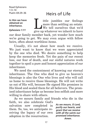Read Ephesians 1:3–14 Psalm 69:29–36

**In Him we have obtained an inheritance.** 

#### *Ephesians 1:11*

I ittle jumbles our feelings<br>more than settling an estate.<br>We tell ourselves that we'd more than settling an estate. We tell ourselves that we'd give up whatever we inherit to have

Heirs of Life

our dear family member back, yet wonder how much we're going to get. We may even argue with fellow heirs, often about worthless items.

Usually, it's not about how much we receive. We just want to know that we were appreciated by the one who died. We desire something to help keep the memories fresh. Yet the pain of our recent loss, our fear of death, and our sinful natures work together to spoil a pure and honest appreciation of our inheritance.

We need the contentment of knowing our eternal inheritance. The One who died to give us heaven's blessings is also the One who lives and who will call us home to receive those blessings. He will not write us out of His will, because He signed His promises in His blood and sealed them for all believers. The promised inheritance helps us become less selfish and more willing to share with others.

As we mourn family and friends who die in the faith, we also celebrate God's salvation now completed in them. So, too, we anticipate receiving the legacy of our own adoption in the resurrection. *As we mourn, O Lord, purify our hearts, and grant that we receive with all the saints our promised inheritance.* 

*Amen.*

17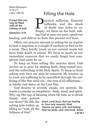Read Ephesians 3:14–21 Luke 1:46–55

**[I pray] that you may be filled with all the fullness of God.**

*Ephesians 3:19*

## Filling the Hole

**P** hysical suffering, financial setbacks, and the shock of death tear holes in us. setbacks, and the shock of death tear holes in us. Empty, we focus on the hurt, asking God to ease our pain, speed our

healing, and deliver us from this present evil hour.

Often, our prayers amount to asking for an aspirin to heal a migraine or a couple of sardines to feed us for a week. They briefly touch on our current needs but have little depth or extent. We focus so much on our immediate concerns that we easily forget how completely God cares for us.

To keep us from selling His mercies short, God invites us to pray for abiding faith, deep-rooted love, and the indwelling of the Holy Spirit. To keep us from asking only that our pain be removed, He teaches us to want our suffering to be sanctified through the suffering of His Son until sin—the root of all afflictions is totally cast down on the Last Day.

God desires to provide meals, not morsels. He wants to remake us completely—body, mind, and spirit. Why sip His cup of blessing when He bids us to drink deeply and quench

our thirst? He fills the aching hole within us, filling us "with all the fullness of God."

*Grant, Lord Jesus, that my healing In Your holy wounds I find. Cleanse my spirit, will, and feeling;* 

*Heal my body, soul, and mind. Amen. LW* **95:1**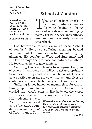Read 2 Corinthians  $1:3 - 10$ Psalm 77:1–15

**Blessed be the God and Father of our Lord Jesus Christ, . . . who comforts us in all our affliction.** 

*2 Corinthians 1:3–4*

School of Comfort

he school of hard knocks is<br>a rough education—like a rough education—like learning boxing by being knocked senseless or swimming by nearly drowning. Accident, illness, loss, and death certainly belong to this school.

God, however, enrolls believers in a special "school of comfort." He gives suffering meaning beyond mere survival. He humbles us by our suffering. By giving us His comfort in Word and Sacrament and His love through the presence and patience of others, He teaches us how to give comfort.

Suffering tunes our hearts to recognize the pain of others. It sharpens our ability to act appropriately to others' hurting conditions. By His Word, Christ's peace settles upon us, grows within us, and gives us confidence to share His blessing with those in need.

Suffering is not hollow or meaningless for Christian people. We follow a crucified Savior, who carried the world's pain in His body on the cross. He carries us in our suffering, so our lives express His redeeming love.

As He has comforted us, so "we share abundantly in comfort too" (2 Corinthians 1:5).

*Where the wound is and the hurting, Pour in oil and cleansing wine. Let Your cross, its pow'r asserting, Touch my life with grace divine. Amen.*

 *LW* **95:4**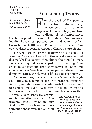Read 2 Corinthians  $12:1-10$ Psalm 94:12–23

**A thorn was given me in the flesh.** 

*2 Corinthians 12:7*

Rose among Thorns

For the good of His people,<br>Christ turns Satan's thorny<br>messengers to His own<br>nurmosos. Even as they nuncture Christ turns Satan's thorny messengers to His own purposes. Even as they puncture our balloon of self-importance,

the barbs point to Jesus. He endured "weaknesses, insults, hardships, persecutions, and calamities" (2 Corinthians 12:10) for us. Therefore, we are content in our weakness, because through Christ we are strong.

He who bore the crown of thorns on our behalf is also the Rose who bloomed in this world's sin-parched desert. Yet His beauty often eludes the casual glance. Believers may get so wrapped up in dashing from crisis to catastrophe that they forget to "stop and smell the roses"—at least the one perfect Flower. In so doing, we cause the thorns of life to tear even more.

Yet even then, the truth of Christ's words through St. Paul comes home to us: "My grace is sufficient for you, for My power is made perfect in weakness" (2 Corinthians 12:9). Even our afflictions are in the hands of our loving Lord, for in them He shows us that

He really does what He promises. He strengthens our faith. Our prayers arise, sweet-smelling. And the Word we bring to others refreshes those wearied on their way.

*Dear Jesus, give us Your patience and strength in our thorns that we may blossom to Your praise and the glory of Your Father. Amen.*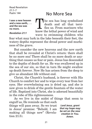Read Revelation  $21:1-7$ Psalm 144

**I saw a new heaven and a new earth, . . . and the sea was no more.** 

*Revelation 21:1*

No More Sea

The sea has long symbolized<br>death and all that terrifies us. From mariners who<br>know the lothel power of wind and death and all that terrifies us. From mariners who know the lethal power of wind and wave to swimming children who

fear what may lurk in the lake beneath their feet, the watery depths represent the dread power and murkiness of the grave.

But consider the new heavens and the new earth that shall be revealed at Christ's return: there shall be no more sea! There shall be no more death or anything that causes us fear or pain. Jesus has descended to the depths of death for us. He was swallowed up in the sea of our sin, so that in turn He might swallow up death forever. Now He has arisen from the deep to give us abundant life without end.

Christ, the Church's husband, is forever with His Church to comfort her and to wipe every tear from her eyes. Her overwhelming sea is dried up, and she is now given to drink of the gentle fountain of the water of life. Baptized into Christ, she is adorned beautifully in the robe of His righteousness.

As we live in the midst of things that seem to engulf us, He reminds us that such things will pass away. So we trust in Jesus' promise: "Behold, I am making all things new" (Revelation 21:5). *Lord Jesus, grant that my hope may be set on the new creation in You. Amen.*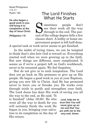Read Philippians 1:3–11 Psalm 142

**He who began a good work in you will bring it to completion at the day of Jesus Christ.** 

*Philippians 1:6*

His return.

#### The Lord Finishes What He Starts

Sometimes people don't<br>see their work all the way<br>through to the end. The pur-<br>suit of the collore dorreo falls a fow see their work all the way through to the end. The pursuit of the college degree falls a few classes short. A hobby or home improvement project is left half-done.

A special task at work never seems to get finished.

In the midst of trying times, we can be tempted to think that's also how God is toward us. Everything started well when we were growing up in the faith. But now things are different, more complicated. It seems as if we're a project left on God's workbench, never to be resumed again. We feel forgotten.

But do not give in to such temptation. The Lord does not go back on His promises or give up on His people. He began a good work in you at your Baptism, giving you new life in Christ. And He has promised never to leave you or forsake you. He works even through trials to purify and strengthen your faith. The Lord Jesus has done His work of saving you all the way to the end, as He said, "It is finished" (John 19:30). He who went all the way to death for you will certainly finish the work He began in you, bringing your salvation to its completion on the day of *Lord, help me to trust that You will never give up on me and that You are with me to the very end. Amen.*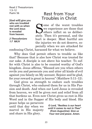Read 2 Thessalonians  $1:3-12$ Psalm 56

**[God will] give you who are troubled rest with us when the Lord Jesus is revealed from heaven.** 

*2 Thessalonians 1:7 NKJV*

#### Rest from Your Troubles in Christ

Ome of the worst troubles we experience are those that I others inflict on us deliberately. Then it's personal, and the hurt is deeper. Most hurtful are the injuries we do not deserve, especially when we are attacked for

confessing Christ, harassed for what we believe.

Why does God permit others to trouble us like that? Because that is also how Christ was treated for our sake. A disciple is not above his teacher. To suffer with Christ is also to be counted worthy of God's kingdom. Jesus affirms, "Blessed are you when others revile you and persecute you and utter all kinds of evil against you falsely on My account. Rejoice and be glad, for your reward is great in heaven" (Matthew 5:11–12).

God gives us strength to endure such troubles through Christ, who endured them for us in His Passion and death. And when our Lord Jesus is revealed from heaven, we will be given rest and relief from all that burdens us. Even now Christ gives us rest in His Word and in the Supper of His body and blood. His

peace helps us persevere until that day when we marvel in His majesty and share in His glory.

*O Lord, "Restless is our heart until it comes to rest in Thee" (from Augustine). Give us Your rest and peace. Amen.*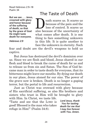Read Hebrews 2:9–18 Psalm 34

**But we see . . . Jesus, crowned with glory and honor because of the suffering of death, so that by the grace of God He might taste death for everyone.**

*Hebrews 2:9*

## The Taste of Death

eath scares us. It scares us because of the pain and the loss of control. It scares us also because of the uncertainty of what comes after death. It is one thing to face something unknown in this life. It is quite another to face the unknown in eternity. Such

fear and doubt are the devil's weapons to hold us captive.

But Jesus has destroyed the devil's dominion over us. Since we are flesh and blood, Jesus shared in our flesh and blood to break the curse of death for us and to release us from sin and Satan. The Son of God became man in order to taste death for everyone, that its bitterness might leave our mouths. By dying our death in our place, Jesus atoned for our sins. The power of the grave now is broken. Death is no longer a gaping terror, but the portal to life and resurrection.

Just as Christ was crowned with glory because of His sacrificial suffering, so also His brothers and sisters who trust in Him will be brought to glory with Him. In Christ, we taste life. "Taste and see that the LORD is good! Blessed is the man who takes refuge in Him!" (Psalm 34:8). *Lord Jesus, thank You for tasting death for me that I may live forever* 

*with You. Amen.*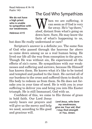Read Hebrews 4:14–16 Psalm 143

**We do not have a high priest who is unable to sympathize with our weaknesses.** 

*Hebrews 4:15*

#### The God Who Sympathizes

W hen we are suffering, it<br>can seem as if God is very<br>far away. He's "up there," can seem as if God is very far away. He's "up there," aloof, distant from what's going on down here. Sure, He may know the facts of what's happening to us, but does He really understand or care?

Scripture's answer is a definite *yes*. The same Son of God who passed through the heavens far above us came down among us as a real human being. He lived our life all the way from conception to the grave. Though He was without sin, He experienced all the effects of sin's curse. He sympathizes with our weaknesses and suffering and sorrows, because He Himself has known them. He knows what it's like to be tested and tempted and pushed to the limit. He carried all of our burdens to the cross and suffered them to death in His body to redeem us from them. So He does not forsake you in your time of need. He is with you in your suffering to deliver you and bring you into His Easter triumph. He is still Immanuel, God with us.

Confident of this, we come to His throne of grace in bold faith. Our Lord Jesus

surely hears our prayers and will give us the mercy and help we need, according to His good and gracious will.

*Lord Jesus, who bore my weaknesses, give me Your aid, that I may find strength in You. Amen.*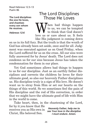Read Hebrews 12:3–13 Psalm 86

**The Lord disciplines the one He loves, and chastises every son whom He receives.**

*Hebrews 12:6*

#### The Lord Disciplines Those He Loves

When bad things happen<br>to us, we can be tempted<br>to think that God doesn't<br>love us or care about us It fools to us, we can be tempted to think that God doesn't love us or care about us. It feels like His judgment is coming down

on us in its full fury. But the truth is that the wrath of God has already been set aside, once and for all. Judgment was executed against us on Good Friday, when the Lord suffered for us on the cross. All our sins were fully answered for by Jesus' death. The Lord does not condemn us for our sins because Jesus has taken the condemnation for them in our place.

Yet God sometimes allows bad things to happen to us for our discipline. Just as an earthly father disciplines and corrects the children he loves for their ultimate good, so also our heavenly Father disciplines us. His discipline truly is a sign of His love. He doesn't want us to stray from Him or set our hearts on the things of this world. So we sometimes feel the pain of His discipline and the rod of His correction, in order that we might have the ultimate good of life with Him in the world to come.

Take heart, then, in the chastening of the Lord, for by it you know that He receives you as His own in Christ, His beloved Son. *Heavenly Father, help me to see Your love in the discipline I must endure. Amen.*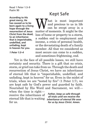Read 1 Peter 1:3–9 Psalm 90

**According to His great mercy, He has caused us to be born again to a living hope through the resurrection of Jesus Christ from the dead, to an inheritance that is imperishable, undefiled, and unfading, kept in heaven for you.** 

#### *1 Peter 1:3–4*

#### Kept Safe

W hat is most important<br>and precious to us in life<br>matter of moments. It might be the and precious to us in life can be swept away in a matter of moments. It might be the loss of home or property to a storm, a sudden end to employment and income, a crisis of personal health, or the devastating death of a family member. All that we considered as most secure can come to a sudden, and sometimes frightening, end.

Yet in the face of all possible losses, we still have certainty and security. There is a gift that no crisis, storm, or grief can take from us. Through the death and resurrection of Jesus Christ, we have an inheritance of eternal life that is "imperishable, undefiled, and unfading, kept in heaven" for us. Even in the midst of trials, when we are "tested by fire" (1 Peter 1:7), we are kept safe by God's power and guarded by faith. Nourished by His Word and Sacrament, we will when the time is right receive the inheritance of *Father, keep us safe through* 

eternal life that is waiting for us.

*all trials until we receive the inheritance of eternal life won for us by Jesus Christ. Amen.*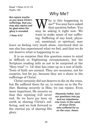Read 1 Peter 4:12–19 Psalm 126

#### Why Me?

**But rejoice insofar as you share Christ's sufferings, that you may also rejoice and be glad when His glory is revealed.** 

*1 Peter 4:13*

W hy is this happening to<br>that question before. You<br>may be asking it right now We me?" You may have asked that question before. You may be asking it right now. We want to make sense of our suffering. Suffering of any kind, physical, emotional, or spiritual, may

leave us feeling very much alone, convinced that no one else has experienced what we feel, and that we do not deserve what is happening to us.

It is no surprise that this question comes to mind in difficult or frightening circumstances, but the Scripture reading tells us not to be surprised at the "fiery trial" (v. 12) that has come up as a test of faith. Tests of faith are normal. They are occasions, not for surprise, but for joy, because they are a share in the sufferings of Christ.

Christ certainly did not deserve to die on the cross, but He suffered there for us, to restore us to the Father. Resting securely in Him, we can rejoice. Even more important, He assures us that this rejoicing will never end. So we have joy here on earth at sharing Christ's suffering, and we look forward to the eternal joy of sharing His glory. *Heavenly Father, turn our questions into joy and our impatience into trust, in the name of Jesus Christ, who suffered for us on the cross. Amen.*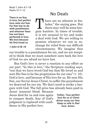Read 1 John 4:7–19 Psalm 51:1–12

#### No Deals

**There is no fear in love, but perfect love casts out fear. For fear has to do with punishment, and whoever fears has not been perfected in love. We love because He first loved us.** 

*1 John 4:18–19*

There are no atheists in fox-<br>holes," the saying goes. But<br>there may well be some bar-<br>gain buntors. In times of trouble holes," the saying goes. But there may well be some bargain hunters. In times of trouble, it is not unusual to try and make a deal with God. We are willing to promise whatever we can in exchange for relief from our difficult circumstances. We imagine that

our trouble is a punishment for sin, and we are tempted to think that we must somehow earn back the love of God we are afraid we have lost.

But God's love is never a reaction to any effort on our part. "In this is love," the Scripture reading says, "not that we have loved God but that He loved us and sent His Son to be the propitiation for our sins" (v. 10). God is love, and because of His love for us, He sent His Son, our Savior Jesus Christ, to suffer the punishment we deserved for our sin. We don't need to strike a bargain with God. The full price has already been paid in Jesus' innocent blood. Because

Jesus died for us and rose again to conquer death, fear of God's judgment is replaced with confidence in His perfect love.

*Father, Your perfect love for us in Christ drives away our fear. Keep us safe in that love. Amen.*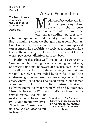Read Psalm 46 Psalm 8

#### A Sure Foundation

**The LORD of hosts is with us; the God of Jacob is our fortress.** 

*Psalm 46:7*

fortress"!

Modern safety codes call for<br>strict engineering stan-<br>ards, but the intense strict engineering standards, but the intense power of a tornado or hurricane can tear a building apart. A pow-

erful earthquake can make solid ground behave like liquid, shaking what we thought was a solid foundation. Sudden disaster, rumors of war, and unexpected terror can shake our faith as surely as a tremor shakes the earth. We easily are left with the idea that God is weak, powerless, disinterested, or absent.

Psalm 46 describes God's people as a strong city. Surrounded by roaring seas, shattering mountains, and raging nations, believers are secure because God Himself stands tall and strong among them. When we find ourselves surrounded by fear, doubt, and the shattering guilt of our sin, He gives safety beneath the cross, where Jesus shed His blood for us. God has not abandoned us. Faithful to His promises, He stands stalwart among us even now in Word and Sacrament. Through the saving Word of Christ's death and resurrection for us, God "will be exalted among the nations" (v. 10) and in our own lives. "The LORD of hosts is with us; the God of Jacob is our *Lord of hosts, for the sake of Christ, hear our prayer and be our refuge, our fortress, and our help in trouble. Amen.*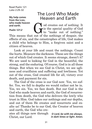Read Psalm 121 Luke 2:29–32

**My help comes**  from the LORD. **who made heaven and earth.** 

*Psalm 121:2*

God creates out of nothing. It<br>to "make out of nothing."<br>and the nothings of despair, the is the special quality of God to "make out of nothing."

The Lord Who Made Heaven and Earth

This means that out of the nothings of despair, the effects of sin, and the catastrophes of life, God makes a child who belongs to Him, a forgiven saint and a citizen of heaven.

Look at your life and count the nothings. Count the hurts. Measure the darkness. These are the things out of which God creates. It seems strange, doesn't it? We are used to looking for God in the beautiful, the strong, and the enduring. Of course, God is in all those things. But when we see God in Christ, we see ugliness and crucifixion and suffering and lowliness. Yet out of the cross, God created life for all, victory over death, and payment for sin.

The God of the cross is our God now. Yes, we suffer. Yes, we fall to depths we would rather not be in. Yes, we sin. Yes, we face death. But our God is the God who made heaven and earth, the God of resurrection from death, the God who delivers the lowly who trust in Him. God takes our nothings and our depths, and out of them He creates and resurrects and exalts us! Thanks be to our God, the Creator of heaven and earth, the God who cre-

ates all things new through Christ, our Lord. *O Lord, be with me always, in dark times or light. Amen.*

31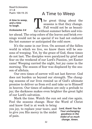Read Ecclesiastes 3:1–8 Psalm 104:19–35

**A time to weep, and a time to laugh.**

#### *Ecclesiastes 3:4*

The great thing about the seasons is that they change.<br>Fall would not be as beauti-<br>ful without summer before and winseasons is that they change.

A Time to Weep

Fall would not be as beautiful without summer before and win-

ter ahead. The crisp colors of the leaves and brisk evenings would not be as special if we had not endured the hot summer or anticipated the cold snow.

It's the same in our lives. On account of the fallen world in which we live, we know there will be seasons of weeping. Yet, by the grace of God, these times do not last. The disciples were paralyzed by grief and fear on the weekend of our Lord's Passion, yet Easter came! Weeping carried the night, but joy came in the morning. The season of fear was displaced by the season of alleluia.

Our own times of sorrow will not last forever. God does not burden us beyond our strength. The changing seasons of our lives remind us of God's ultimate promise to deliver us from evil and take us to Himself in heaven. Our times of sadness are only a prelude to joy; the darkness makes even brighter the great light of our Lord's salvation.

Mark the time. Watch the sun set and rise again. Feel the seasons change. Hear the Word of Christ and know God is at work to bring you joy, to replace your tears, and to give you His mercy in the midst of pain. *Lord, thank You for Your unchanging goodness in the midst of so much* 

*change. Amen.*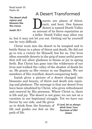Read Isaiah 35 Psalm 42

**The desert shall rejoice and blossom like the crocus.** 

*Isaiah 35:1*

## A Desert Transformed

**Deserts are places of thirst,<br>cacti, and heat. One famous<br>desert is named Death Valley<br>on account of its fierce reputation as** cacti, and heat. One famous desert is named Death Valley on account of its fierce reputation as a killer. Death Valley may allow you

in, but it may not let you out. Getting out by yourself can be very difficult.

Christ went into the desert to be tempted and to battle Satan in a place of thirst and death. He did not go to win a victory for Himself, but for us. Our lives often resemble deserts in the grip of some awful power that will not allow gladness to bloom or joy to spring forth. But Christ has gone into the wilderness of our lives and walked the valley of the shadow of death for us. He grants us His victory in our Baptism. We are members of His crucified, desert-conquering body.

Isaiah gives a picture of a desert changed into blossoms and beauty, of thirst and death into rejoicing and gladness. The message is that our desert lives have been inhabited by Christ, who gives refreshment and renewal by His presence. Where Christ is, there is life and joy. The desert is not gone; we are not on a vacation in our baptismal struggle. Yet we have our Savior by our side, and He gives us to drink from the fountain of life and guides our feet on the path of life. *O Lord, let us always drink from Your fountain of life! Amen.*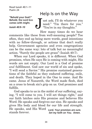Read Isaiah 40:1–11 Psalm 24

#### Help Is on the Way

**"Behold your God!" Behold, the Lord Gop comes with might.** 

*Isaiah 40:9–10*

Ust ask; I'll do whatever you need." "I'm there for you." "You're in my thoughts." need." "I'm there for you." "You're in my thoughts."

How many times do we hear comments like these from well-meaning people? Too often, they end up being mere words, good intentions with no follow-through, or actions that don't really help. Government agencies and even congregations can be the same way: lots of talk but no meaningful action. "Surely the people are grass" (Isaiah 40:7).

When our Lord speaks, it is different. When God promises, when He says He is coming with might, His words are not empty. Our Lord is a God of promise *and* fulfillment. God saw our world of sin and spoke, "I will send a Savior." His promise sustained generations of the faithful as they endured suffering, exile, and death. They hoped in the One to come. And He came. Jesus of Nazareth, the Word made flesh, died on a cross to break sin's grip on us. God promises and fulfills.

God speaks to us in the midst of our suffering, saying, "I will come to you. I will set things right," and our faith latches onto His promise and believes His Word. He speaks and forgives our sins. He speaks and gives His body and blood for our life and strength. He speaks, and His Word stands forever. *Lord, Your promises are sure. Set my faith on You. Amen.*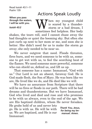Read Isaiah 43:1–11 Psalm 139

## Actions Speak Loudly

**When you pass through the waters, I will be with you.** 

*Isaiah 43:2*

We hen my youngest child<br>storm or a bad dream, I<br>sometimes fool belpless. Her body is scared by a thunderstorm or a bad dream, I sometimes feel helpless. Her body shakes, the tears roll, and I cannot chase away the bad thoughts or quiet the booming sky. But often she just curls up next to her mom or me, and soon she is better. She didn't need for us to make the storm go

away; she only needed to be near us.

We never outgrow that need. Floods threaten, fires burn, and we need someone to be with us, someone to get wet with us, to feel the scorching heat of the flames. We need someone more powerful, someone who can shield us, defend us, and lift us up.

That someone has a name: Immanuel, "God with us." Our Lord is not an absent, faraway God. He is God made flesh, the Son of Mary. He was born like we are, He lived like we do, and He died like we will.

We have no assurance from Scripture that there will be no fires or floods in our path. There will be bad dreams and thunderstorms. But we have Immanuel, God who lived and died and rose and who promises to be with us always, even to the end of the age. We are His baptized children, whom He never forsakes. He grabs hold of us and never lets

go. He is with us. He will be with us. We are baptized, and He is our Immanuel.

*Thank You, Jesus, for being my Immanuel. Amen.*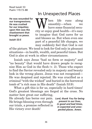Read Isaiah 53 Psalm 119:73–88

## In Unexpected Places

**He was wounded for our transgressions; He was crushed for our iniquities; upon Him was the chastisement that brought us peace.** 

*Isaiah 53:5*

When life runs along<br>
moothly—when we<br>
have some financial secu-<br>
rity or enjoy good health—it's easy smoothly—when we have some financial secuto imagine that God cares for us and blesses us. But when even one part of a peaceful life changes, we may suddenly feel that God is out

of the picture. We tend to look for God only in pleasant situations—in health, wealth, and peaceful times. But God is also at work in other circumstances.

Isaiah says Jesus "had no form or majesty" and "no beauty" that would have drawn people to recognize Him as God in the flesh (v. 2). Those who expect to find the Savior revealed only in majesty and beauty look in the wrong places. Jesus was not recognized— He was despised and rejected. He was crucified as a criminal "with the wicked" and buried in the borrowed tomb of "a rich man in His death" (Isaiah 53:9).

What a gift this is for us, especially in hard times! God's greatest blessings are forged at the cross. No matter how great our suffering, He already has borne our pain. He brings blessing even through *Lord, thank You for being* 

our trials, a promise reflected in His victory over death!

*present in our lives, in good and bad times, in expected and unexpected places. Amen.*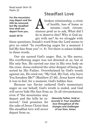Read Isaiah 54:4–10 Psalm 22

**For the mountains may depart and the hills be removed, but My steadfast love shall not depart from you.** 

*Isaiah 54:10*

#### Steadfast Love

broken relationship, a crisis<br>of health, loss of home or<br>income—such circum-<br>stances prod us to ask What did I of health, loss of home or income—such circumstances prod us to ask, What did I do to deserve this? Why is God angry with me? As we struggle with

these questions, Isaiah's word from the Lord seems to give no relief: "In overflowing anger for a moment I hid My face from you" (v. 8). Yet there is solace hidden in these words.

Our sin earned God's anger. But, in His mercy, His overflowing anger was not directed at us, but at His only Son. He carried our sins in His own body on the cross. Jesus endured the utter despair of being deserted by His Father. Overwhelmed by God's wrath against sin, He cried out, "My God, My God, why have You forsaken Me?" (Matthew 27:46). Jesus knew what it was to feel, for a moment, God's hidden face.

Because our Savior endured God's momentary anger on our behalf, God's wrath is ended, and God will never hide His face from us. In all circumstances,

even if "the mountains may depart and the hills be removed," God promises for the sake of Jesus Christ that His steadfast love will never depart from us.

*Heavenly Father, hold us securely in Your steadfast love throughout all the changes and challenges of our lives. Amen.*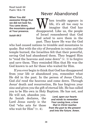Read Isaiah 64 Psalm 18:6–19

**When You did awesome things that we did not look for, You came down, the mountains quaked at Your presence.** 

*Isaiah 64:3*

Never Abandoned

We hen trouble appears in<br>life, it's all too easy to<br>disappeared Like us the people life, it's all too easy to imagine that God has disappeared. Like us, the people of Israel remembered that God had acted to save them in the past. They knew He was the God

who had caused nations to tremble and mountains to quake. But with the city of Jerusalem in ruins and the temple burned, the Israelites felt that their powerful, saving God had abandoned them. They begged Him to "rend the heavens and come down" (v. 1) to forgive and save them. They reminded Him that He was the God known to act for those who waited for Him.

If you ever begin to think that God has disappeared from your life or abandoned you, remember what He did in the past. In the person of Jesus Christ, God *did* rend the heavens and come down. Through Jesus' death and resurrection, He has forgiven your sins and given you the gift of eternal life. He has called you to be His own in Holy Baptism. He has not, and He will not, abandon you.

As Isaiah declares, the Lord Jesus surely is the God "who acts for those who wait for  $\lim'' (v, 4)$ .

*Lord, open our hearts and minds to remember Your saving love, a love that in Christ reaches from the past to the present and into the future. Amen.*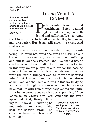Read Mark 8:31–37 Psalm 40

#### Losing Your Life to Save It

Peter wanted Jesus to avoid<br>
glory and success, not self-<br>
denial and suffering We too want crucifixion. Peter wanted glory and success, not self-

**If anyone would come after Me, let him deny himself and take up his cross and follow Me.** 

*Mark 8:34*

denial and suffering. We, too, want the Christian life to be all about health, happiness, and prosperity. But Jesus still gives the cross. And that is good.

Jesus won our salvation precisely through His suffering. He could not avoid the cross and still be our Savior. In the same way, we cannot avoid suffering and still follow the Crucified One. We should not be shocked when the wood digs hard into our backs, for in this way we are purged of our love for the passing things of men and our hearts and minds are turned toward the eternal things of God. Since we are baptized into Christ, His death and resurrection is the pattern of our lives. We shall lose our lives in this world, dying with Christ through repentance, in order that we may have real life with Him through forgiveness and faith.

A hymn encourages us with Jesus' promise, "Then let us follow Christ, our Lord, And take the cross appointed And, firmly clinging to His word, In suff'ring be undaunted. For those who bear the battle's strain The crown of heav'nly life obtain" (*LW* 379:5). *Lord Jesus, help me to cling to Your cross, that I may also share in Your resurrection. Amen.*

39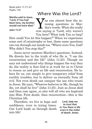Read John 11:17–27 Psalm 116

Where Was the Lord?

**Martha said to Jesus, "Lord, if You had been here, my brother would not have died."** 

*John 11:21*

Vou can almost hear the ac-<br>cusing questions in Mar-<br>tha's words. What she really cusing questions in Martha's words. What she really was saying is "Lord, why weren't You here? What took You so long?

How could You let this happen?" When we experience some sort of catastrophe or loss, those same questions can run through our minds too. "Where were You, God? Why didn't You stop this?"

Jesus never answers Martha's questions. Instead, He directs her to the truth of who He is. "I am the resurrection and the life" (John 11:25). Though we may not understand why things happen the way they do, the reality is that God is at work for us in Christ to rescue us and give us life and resurrection. He labors for us, not simply to give temporary relief from earthly troubles, but to deliver us eternally from all evil. Not even death can conquer the one who trusts in Jesus. He says, "Whoever believes in Me, though he die, yet shall he live" (John 11:25). Just as Jesus died and then rose again, so also will all who are baptized into Him. First death, then resurrection—this is the Christian life.

Therefore, we live in hope and confidence, even in trying times. Our Lord leads us through death into life!

*Lord, help me to trust that in You there is life even in the midst of death. Amen.*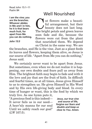Read John 15:1–11 Psalm 84

**I am the vine; you are the branches. Whoever abides in Me and I in him, he it is that bears much fruit, for apart from Me you can do nothing.** 

*John 15:5*

## Well Nourished

ut flowers make a beautiful arrangement, but their beauty does not last long. The bright petals and green leaves soon fade and die, because the flowers were cut from the plant that nourished them. We depend on Christ in the same way. We are

the branches, and He is the vine. Just as a plant feeds its leaves and flowers, keeping them alive, so Jesus is our source of life. "Apart from Me you can do nothing," Jesus said.

We certainly never want to be apart from Jesus. But sometimes, even when we do not realize it is happening, our own doubts and fears pull us away from Him. The brightest faith may begin to fade and with it the love and joy that are the fruit of faith. In difficult and fearful times, as at all times, Jesus gives Himself to us to strengthen us. He gives Himself in His Word and by His own life-giving body and blood. In every time of hunger or want, this is the food by which we

truly live. As one hymn puts it, "A precious food is this indeed— It never fails us in our need— A heav'nly manna for our soul Until we safely reach our goal" (*LW* 107:5).

*Jesus, our true vine and source of life, forgive our fears and doubts and keep us close to You. Amen.*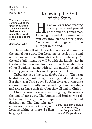Read Revelation 7:9–17 Psalm 118:1–7

**These are the ones coming out of the great tribulation. They have washed their robes and made them white in the blood of the Lamb.** 

#### *Revelation 7:14*

#### Knowing the End of the Story

say book and peeked a scary book and peeked at the ending? Sometimes, a scary book and peeked at the ending? Sometimes, knowing the end of the story helps you get through the scary parts. You know that things will all be all right in the end.

That's what Book of Revelation does: it shows us the end of our story. Our Lord lets us peek at the end of our crooked road through the lens of eternity. At the end of all things, we will be with the Lamb—not in the dirty clothes of our troubles but in the white robes of our Baptism—along with all the faithful people of God in joyous assembly in the presence of God.

Tribulations we have, no doubt about it. They can be distressing, frustrating, irritating, and maddening. But the vision Christ gave St. John gives us strength to endure them faithfully and gracefully. Our hardships and crosses have their day, but they all end in Christ.

Christ shows us where we are going. He reveals the end of our story. The bumps and bruises we collect along the way do not compare with the splendid destination. The One who never leaves us, Jesus Christ, our Lord, is taking us there. To Him be glory forever! *Lord, I commend myself into Your care, my body and soul and all things. Amen.*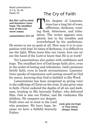Read Lamentations 3:1–6, 16–24 Psalm 55

**But this I call to mind, and therefore I have hope: The steadfast love of the LORD never ceases.** 

*Lamentations 3:21–22*

## The Cry of Faith

This chapter of Lamenta-<br>tions has a long list of woes,<br>afflictions, darkness, wast-<br>ing flosh bitterness, and tributions has a long list of woes, afflictions, darkness, wasting flesh, bitterness, and tribulation. The writer appears completely lost in his troubles and overwhelmed by his misfortune.

He seems to see no good at all. How easy it is to sympathize with him! In times of darkness, it is difficult to see the light. When tears blur our vision, how can we see the hand of the Lord or know that He is at work?

Yet Lamentations also pulses with confidence and hope. The steadfast love of God keeps faith alive, even in the midst of testing and tribulation. God's promises fortify faith, even in harsh circumstances. Lamentations speaks of repentance and casting oneself on God for mercy, knowing that God is faithful to His Word.

Lamentations has been recognized as giving voice to the sufferings of Christ on the cross. It also gives voice to faith. Christ endured the depths of all sin and darkness, trusting in His heavenly Father, who delivered Him. God is also our Father, and He vindicates His children. He conquers our despair. Faith cries out in trust to the Lord who promises. We have hope, because we have a faithful heavenly Father. *Lord, give me hope in Your mercy always. Amen.*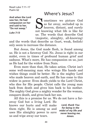Read Luke 7:11–17 Psalm 62

**And when the Lord saw her, He had compassion on her and said to her, "Do not weep."** 

*Luke 7:13*

### Where's Jesus?

Sometimes we picture God as far away, secluded up in heaven, distant, and surely not knowing what life is like for us. The words that describe God (majestic, almighty, all-knowing)

and the words that describe us (hurt, weak, foolish) only seem to increase the distance.

But Jesus, the God made flesh, is found among us. He is not a faraway God. No. Jesus is right in our midst, even in times of profound human grief and sadness. What's more, He has compassion on us, just as He had for the widow from Nain.

Even more than that, He takes action. Christ isn't some well-meaning man who wrings His hands and wishes things could be better. He is the mighty Lord who made heaven and earth, and He has come to this widow in power. Even death yields to the Lord Christ, who dies for His people. Christ calls the young man back from death and gives him back to his mother. The mighty God gives a mighty wonder for the woman, conquers death, and gives back her son.

All this is a promise for us. We do not have a faraway God but a living Lord. He knows our hurts and will make them right. He is among us and uses His almighty power to save us and wipe away our tears. *Lord, thank You for being in the midst of my life and never leaving me. Amen.*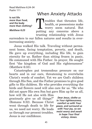Read Matthew 6:24–34 Psalm 111

**Is not life more than food, and the body more than clothing?** 

*Matthew 6:25*

## When Anxiety Attacks

roubles that threaten life,<br>health, or possessions make<br>worry seem natural. But<br>ng any concerns above a health, or possessions make worry seem natural. But putting any concerns trusting relationship with Jesus

surrenders to our fallen natures and results in everincreasing anxiety.

Jesus walked His talk. Traveling without permanent home, facing temptation, poverty, and death, He gave up everything, including His life, to gain eternity for us. Rather than sitting frozen in panic, He communed with His Father. In prayer, He sought first "the kingdom of God and His righteousness" (Matthew 6:33).

Catastrophes put tremendous pressure on our hearts and in our ears, threatening to overwhelm Christ's words of comfort. Yet we are God's children through His Son, and the Father promises to give good gifts to His children. He who provides everything the birds and flowers need will also care for us. "He who did not spare His own Son but gave Him up for us all,

how will He not also with Him graciously give us all things?" (Romans 8:32). Because Christ went through death to life for us, we need not worry. He leads us through our present troubles. Jesus is our confidence.

*Dear Jesus, clothe us in Your righteousness, comfort us with Your peace, and surround us with Your joy, so we resist worry and await in hope Your final victory. Amen.*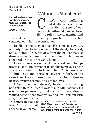Read Matthew 9:27–38 Psalm 80:1–7

**[Jesus] had compassion for them, because they were harassed and helpless.** 

*Matthew 9:36*

## Without a Shepherd?

Inist's work, suffering,<br>and death achieved more<br>than the ransom of our<br>souls. He attained our restors. and death achieved more than the ransom of our souls. He attained our restoration to full physical, mental, and

spiritual health—a healing begun here in time but complete only in the resurrection.

In His compassion for us, He came to save us, not only from the harassment of the devil, the world, and our sinful flesh, but also from the helplessness of disease, poverty, destruction, and death. He lives to shepherd us to our heavenly home.

Even when the weight of the world and the oppression of calamity render us unable to move, to hear His voice clearly, or to follow Him, Christ steps in. He lifts us up and carries us onward in faith. At the same time, He also cares for our broken limbs, broken hearts, broken dreams, and broken lives.

Often (though not always), He also grants healing and relief in this life. Yet even if our pain persists, He even more persistently comforts us. "I have already walked death's shadowed valley and I will remain with you," He reminds us.

"Nothing can tear you from My hand. I will shepherd you home."

*In death's dark vale I fear no ill With Thee, dear Lord, beside me, Thy rod and staff my comfort still, Thy cross before to guide me. Amen. LW* **412:4**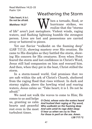Read Matthew 14:22–33 Psalm 124

### Weathering the Storm

hurricane strikes, we

**Take heart; it is I. Do not be afraid.** 

#### *Matthew 14:27*

We hurricane strikes, we realize that the "storms" realize that the "storms of life" aren't just metaphors. Violent winds, raging waters, and flashing lightning humble the strongest person. Lives are lost and possessions are carried away or battered to pieces.

Yet our Savior "walkedst on the foaming deep" (*LSB* 717:2), showing mastery over His creation. He came to His disciples as they battled the storm, showing His concern for His creatures. Even when Peter feared the storm and lost confidence in Christ's Word, Jesus still had compassion on him and rescued him. And then, when they got in the boat, Christ stilled the storm.

In a storm-tossed world, God promises that we are safe within the ark of Christ's Church, sheltered from the raging flood that rises without. In dark and stormy nights, above the howling wind and roaring waters, Jesus calms us: "Take heart; it is I. Do not be afraid."

We need not walk the waves to come to Him; He comes to us and helps us, granting us calm hearts and peaceful rest even in the most turbulent times. *O Christ, whose voice the waters heard And hushed their raging at Thy word, Who walkedst on the foaming deep And calm amid its rage didst sleep: O hear us when we cry to Thee For those in peril on the sea. Amen.*

*LSB* **717:\*2**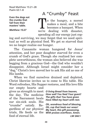Read Matthew 15:21–28 Psalm 63:1–8

**Even the dogs eat the crumbs that fall from their masters' table.** 

*Matthew 15:27*

# A "Crumby" Feast

To the hungry, a morsel makes a meal, and a bite becomes a banquet. When we're dealing with disaster, spending all our energy just cop-

ing and surviving, we may forget that we need spiritual as well as physical food. We get so starved that we no longer realize our hunger.

The Canaanite woman hungered for Jesus' attention, and her poor daughter starved for even a crumb of God's grace. Though she realized her complete unworthiness, the woman also believed she was begging from a gracious God—the God who wouldn't disappoint. Although Israel might consider her a "dog," Christ's love moved her to ask His aid as one of His lambs.

When we find ourselves drained and depleted, Christ likewise invites us to come to His table. His Word refreshes, His Supper restores, and His love fills

our empty hearts and gives us strength to meet the day. The medicine of the Sacrament heals our sin-sick souls. His "crumbs" satisfy. Regardless of our physical trials, He feeds us the food of eternal life.

*O living Bread from heaven, How well You feed Your guest! The gifts that You have given Have filled my heart with rest.*

*Oh, wondrous food of blessing, Oh, cup that heals our woes! My heart, this gift possessing, With praises overflows. Amen. LW* **244:1**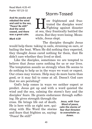Read Mark 4:35–41 Psalm 107:23–32

**And He awoke and rebuked the wind and said to the sea, "Peace! Be still!" And the wind ceased, and there was a great calm.** 

*Mark 4:39*

#### Storm-Tossed

Tow frightened and frus-<br>trated the disciples were!<br>Fighting against disaster<br>at see, they frantically battled the trated the disciples were! Fighting against disaster at sea, they frantically battled the storm. But they were losing. Meanwhile, Jesus slept.

 The disciples thought Jesus would help them: taking in sails, straining on oars, or bailing the boat. When He did nothing they expected, they thought Jesus cared nothing for them, that He didn't care whether they lived or died.

Like the disciples, sometimes we are tempted to believe that Jesus cares nothing for us or our lives. The temptation assails us strongly when He seems to do nothing to help us in the ways we want or expect. Our crises may worsen. Help may do more harm than good, or it may fail to come at all. Doesn't God care that we are perishing?

God's help comes in ways we neither expect or predict. Jesus got up and with a word quieted the wind and the sea, calming the storm's fury and the disciples' fears. He grants endurance through suffer-

ing. He gives strength through the cross. He brings life out of death. He is here with us right now, quieting with His Word the storms and fears that frighten us, saying: "Peace! Be still!"

*Jesus, with Your Word of peace, calm the storms of fear that threaten to overwhelm us. Amen.*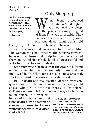Read Luke 8:40–56 Psalm 25

## Only Sleeping

**And all were weeping and mourning for her, but [Jesus] said, "Do not weep, for she is not dead but sleeping."** 

*Luke 8:52*

When Jesus announced<br>that Jairus's daughter<br>was not dead but sleep-<br>ing the people listening laughed that Jairus's daughter was not dead but sleeping, the people listening laughed at Him. This was impossible. They had seen the little girl—they knew she was dead. What Jesus told

them, only faith could see, hear, and believe.

Jairus believed that Jesus could help his daughter. The woman who had touched the Savior's garment believed that Jesus could help her too. Jesus healed the woman, and He took the hand of Jairus's child and woke her from the sleep of death.

Standing by the sickbed or at the grave of a friend or family member, we may see only illness and the finality of death. What our eyes see alone seems real. But God's Word proclaims what truly is real.

In His death and resurrection, Jesus Christ conquered death and broke its power over us. Every child of God who dies in faith has merely "fallen asleep" (1 Thessalonians 4:14). On the Last Day, all who have

fallen asleep in Christ will be raised to life, hearing that same death-defying command spoken by Jesus to Jairus's young daughter, "Child, arise" (Luke 8:54).

*Jesus, by Your death and resurrection You have conquered death. Turn our hearts and minds always to the certain hope of the resurrection. Amen.*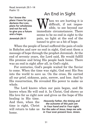Read Jeremiah 29:1–14 Psalm 13

**For I know the plans I have for you, declares the Lord, plans for wholeness and not for evil, to give you a future and a hope.** 

*Jeremiah 29:11*

## An End in Sight

When we are hurting it is<br>difficult, if not impos-<br>immodiate circumstances. There difficult, if not impossible, to see beyond our immediate circumstances. There seems to be no end in sight to the pain, no light at the end of the tunnel to give us a bit of hope.

When the people of Israel suffered the pain of exile in Babylon and saw no end in sight, God sent them a message of hope through the prophet Jeremiah. At the end of seventy years, the Lord said, He would fulfill His promise and bring His people back home. There was an end in sight after all, in God's sight.

For centuries, God's people waited for the Savior to come. When the time was right, God sent His Son into the world to save us. On the cross, He carried all our grief, sickness, pain, sorrow, and loss. And by His resurrection, He revealed His power to make us whole.

The Lord knows when our pain began, and He knows when He will end it. In Christ, God shows us His love for us right now and gives us the hope of His healing in His time.

And then, when the time is right, Christ will return to take us home.

*Heavenly Father, the timing and the outcome of this pain are in Your hand and in Your sight. For the sake of Jesus, keep me safe in Your ever-present love. Amen.*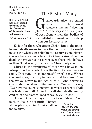Read 1 Corinthians 15:12–26 Psalm 118:14–24

**But in fact Christ has been raised from the dead, the firstfruits of those who have fallen asleep.** 

*1 Corinthians 15:20*

### The First of Many

Traveyards also are called<br>
Grametery means "sleeping"<br>
place" A comptomy is truly a place cemeteries. The word *cemetery* means "sleeping place." A cemetery is truly a place of rest from which the bodies of the faithful will awaken from sleep when our Lord returns.

So it is for those who are in Christ. But to the unbelieving, death seems to have the last word. The world mocks the Christian belief in the resurrection. Nevertheless, because Jesus has in fact been raised from the dead, the grave has no power over those who believe in Him. That is why the dead in Christ only sleep.

Christ is the firstfruits of those who have fallen asleep. In other words, He is the first of many more to come. Christians are members of Christ's body. Where the head goes, the body follows. Christ has risen from the grave, never to die again; so all who belong to Christ shall awaken to life immortal. One hymn says, "We have no cause to mourn or weep; Securely shall this body sleep Till Christ Himself shall death destroy And raise the blessed dead to joy" (*LSB* 759:5).

So do not be dismayed in the face of death. Your faith in Jesus is not futile. Though all people die, all in Christ shall be made alive. *Lord Jesus, hasten the day* 

*when the enemy death is put under Your feet. Amen.*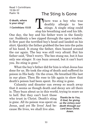Read 1 Corinthians 15:50–57 Psalm 16

#### **O death, where is your sting?**

#### *1 Corinthians 15:55*

The Sting Is Gone

There was a boy who was<br>deathly allergic to bee<br>stings. A single sting could<br>stop bis broathing and ond bis life deathly allergic to bee stings. A single sting could stop his breathing and end his life.

One day, the boy and his father were in the family car. Suddenly a bee zipped through the open window. It flew past the terrified boy's head and landed on his shirt. Quickly the father grabbed the bee into the palm of his hand. It stung the father, then buzzed around the car again. The boy was still very afraid. But his father said, "Don't worry. The bee stung me, but it has only one stinger. It can buzz around, but it can't hurt you. Its sting is gone."

What the boy's father did for him is what Jesus has done for us. He took the sting of death and suffered its poison in His body. On the cross, He breathed His last in our place. Then He rose to life again to show that death's poison had been spent. Its sting is gone.

Calamity and disaster can sweep so much away that it seems as though death and decay are all there is. They buzz about us in this world, trying to scare us

to hell. But they can't hurt those who trust in Christ. Death's sting is gone. All its poison was spent on Jesus, and yet He lives! And because He lives, we shall live also.

*Thanks be to You, O God, for giving us the victory over death through our Lord Jesus Christ. Amen.*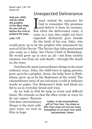Read Luke 1:67–79 Psalm 67

**And you, child, will be called the prophet of the Most High; for you will go before the Lord to prepare His ways.** 

*Luke 1:76*

## Unexpected Deliverance

I srael waited for centuries for<br>God to remember His promises<br>and deliver it from its enemies.<br>But when the deliverance came, it srael waited for centuries for God to remember His promises and deliver it from its enemies. came in a way they might not have expected. Zechariah gave thanks for the birth of his son, John, who

would grow up to be the prophet who announced the arrival of the Savior. The Savior that John proclaimed also came as a baby, the Christ Child of Bethlehem. He would grow up to save us all—not from earthly enemies, but from sin and death—through His death on the cross.

God does the most extraordinary things in the most ordinary ways. John, the child born to aging parents, grew up to be a prophet. Jesus, the baby born in Bethlehem, grew up to be the Redeemer of the world. The extraordinary story of our salvation is told in ordinary words on paper. Our Redeemer's body and blood are fed to us in everyday bread and wine.

As we look to God for help in trials and difficult times, He reminds us that He often works in ways we do not expect. Because God does extraordinary things in the most ordinary ways, we wait on Him in hope. *Father, in the extraordinary gift of Your Son, You show us that Your ways are not our ways. Strengthen us to trust Your work and promises. Amen.*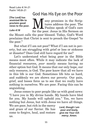Read Luke 4:14–21 Psalm 145:8–21

**[The Lord] has anointed Me to proclaim good news to the poor.** 

#### *Luke 4:18*

God Has His Eye on the Poor

W any promises in the Scrip-<br>tures address the poor. The<br>proper Josus in His Sormon on tures address the poor. The Psalms speak of God's care for the poor. Jesus in His Sermon on the Mount calls the poor blessed. Today, God's Word proclaims that Christ is sent to preach the Gospel "to the poor."

But what if I am not poor? What if I am not in poverty, but am struggling with grief or loss or sickness or disaster? Does God still have regard for me?

Let's understand what being poor in the Bible means most often. While it may indicate the lack of financial resources, *poor* mostly means having no other option but God. It means that our only hope, our only resource, is God. The poor know that all we have in this life is our God. Sometimes life hits us hard, and suddenly we are shown our poverty. Our pain, grief, and losses force us to see that we really have nothing in ourselves. We are poor. Facing this can be anguishing.

Jesus comes to poor people like us with good news: "I have you in My divine hands. My hands have bled for you. My hands will uphold you." Yes, we have nothing but Jesus, but with Jesus we have all things.

We are poor, but rich in the mercy and grace of our Savior. He has come to forgive, heal, and restore us.

*Lord, though I am poor and lowly, give me Your rich mercy. Amen.*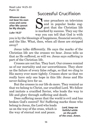Read Luke 14:25–33 Psalm 32

**Whoever does not bear his own cross and come after Me cannot be My disciple.** 

*Luke 14:27*

# Successful Crucifixion

 $\blacksquare$  ome preachers on television and in popular books suggest that the Christian life is marked by success. They say the way you can tell that God is with

you is by the blessings of happiness, financial security, and the like. What, then, when all these are stripped away?

Jesus talks differently. He says the marks of the Christian life are the crosses we bear. Jesus tells us that as He suffered, so will we. Jesus says suffering is part of the Christian life.

Crosses are not fun. They hurt. Our crosses remind us of our mortality and our unworthiness. They show us the failure of every false refuge, so that we cling to His mercy ever more tightly. Crosses show us that we really have only one hope in this life: Jesus and His never-failing love for us.

But the crosses in our life do more. They remind us that we belong to Christ, our crucified Lord. We follow and imitate a crucified Savior, who leads the way to life and glory through suffering and death.

Does suffering mean that the world is evil and has broken God's control? No! Suffering marks those who

belong to Jesus, the Lord who leads us on the way of the cross, which is the way of eternal rest and peace.

*Lord, keep me faithful while on the path of the cross. Amen.*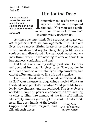Read John 5:19–24 Psalm 66

## Life for the Dead

**For as the Father raises the dead and gives them life, so also the Son gives life to whom He will.** 

*John 5:21*

I remember one professor in college who told his unprepared students, "Get your act together and then come back to see me!" remember one professor in college who told his unprepared students, "Get your act togeth-He could really frighten us.

At times we may think God requires us to get our act together before we can approach Him. But our lives are so messy. Sinful forces in us and beyond us wreck our days and nights. Everything in life seems confused and disordered. How can God accept me, we may think, when I have nothing to offer or show Him but sadness, confusion, and sin?

But God is not like my college professor. He does not demand from us; He gives to us. The disorder in our lives shows us our inability to help ourselves, but Christ offers and bestows His life and promise.

God raises the dead to life. What can the dead offer to God? Can a corpse arrange things nicely? What can the dead do to get God's attention? God gives life to the lowly, the sinners, and the confused. The true objects of God's mercy and power are those who have nothing to offer to Him, like sinners at the font of Baptism, like empty sinners yearning for a word of God's kindness, like open hands at the Lord's Supper. God raises, forgives, and *Living Lord,* 

fills all such needs.

*give me Your life always. Amen.*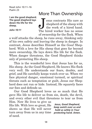Read John 10:11–16 Psalm 23

**I am the good shepherd. The good shepherd lays down His life for the sheep.** 

*John 10:11*

## More Than Ownership

Separate His care as<br>shepherd of the sheep with<br>the work of a hired hand. shepherd of the sheep with the work of a hired hand. The hired worker has no sense of ownership for the flock. When

a wolf attacks the sheep, he runs away, thinking only of his own safety and leaving the sheep in danger. In contrast, Jesus describes Himself as the *Good* Shepherd. With a love for His sheep that goes far beyond mere ownership, He lays down His life for the flock. When danger threatens, the Good Shepherd thinks only of protecting His sheep.

This is the wonderful love that Jesus has for us, His sheep. As the Good Shepherd, He knows His flock very well. He understands our fears, doubts, and grief, and He carefully keeps watch over us. When we face physical danger, emotional turmoil, or spiritual threats such as temptation or guilt, Jesus our Shepherd does not run or hide. Instead, He squarely faces our foes and defends us.

Our Good Shepherd loves us so much that He gave His life to deliver us from sin, death, the devil, and every other evil that threatens to tear us from Him. Now He lives to give us His life. With love so great, He shows us that He will never turn away from us in any time of need. *Jesus, Good Shepherd, keep watch over us and hold us safely in Your protecting hand. Amen.*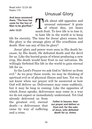Read John 12:23–26 Psalm 115

## Unusual Glory

**And Jesus answered them, "The hour has come for the Son of Man to be glorified."** 

*John 12:23*

alk about odd opposites and<br>unusual outcomes! A grain<br>of wheat dies, yet bears<br>much fruit. To love life is to lose it: unusual outcomes! A grain of wheat dies, yet bears much fruit. To love life is to lose it; to hate life in the world is to keep

life for eternity. The time for Jesus' glory comes, but His glory is the strange glory of His crucifixion and death. How can any of this be glory?

Jesus' glory and power were seen in His death because, by His death, He defeated death and the devil for us. Like the buried grain of wheat producing a new crop, His death would bear fruit in our salvation. He willingly forfeited His life in the world to gain eternal  $l$ ife for us.

In the Lord's Prayer we ask God to "deliver us from evil." As we pray these words, we may be thinking of spiritual evil or of physical illness and loss. Yet we do not know when our prayer will be answered or how God will deliver us. Deliverance may come suddenly, but it may be long in coming. Like the opposites of which Jesus speaks, deliverance may come in a way we do not expect or immediately understand. Yet God

already delivered us from the greatest evil, eternal death—a deliverance that came by way of suffering and a cross.

*Father in heaven, hear our prayer and deliver us from evil, for the sake of Jesus, who defeated death for us. Amen.*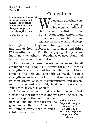Read Philippians 4:10–20 Psalm 31

**I have learned the secret of facing plenty and hunger, abundance and need. I can do all things through Him who strengthens me.** 

*Philippians 4:12–13*

### Contentment

We usually associate con-<br>tentment with enjoying<br>a big meal, a family celtentment with enjoying a big meal, a family celebration, or a restful vacation. But St. Paul found contentment in far more improbable circumstances: in hard work and sleep-

less nights, in beatings and stonings, in shipwrecks and threats from robbers, and in hunger and thirst (2 Corinthians 11). Whether enjoying plenty or going hungry, whether in abundance or need, Paul had learned the secret of contentment.

Paul eagerly shares the marvelous secret. In all circumstances, "I can do all things through Him who strengthens me." He had learned that Jesus Christ supplies the help and strength we need. Because strength comes from the Lord, trust in ourselves and trust in others leads to disappointment and discontent. But the Lord is faithful; He alone is trustworthy. Whatever He gives is enough.

Of course, other Christians had helped Paul. Christ had met their needs and was working through

them to supply the help that Paul needed. And the same promise is given to us, that in Christ "God will supply every need of yours" (Philippians 4:19).

*Father, give us the help and strength that we need so that we, in turn, may help and strengthen others. Amen.*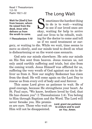Read 1 Thessalonians  $1:2-10$ Psalm 102:1–22

**Wait for [God's] Son from heaven, whom He raised from the dead, Jesus who delivers us from the wrath to come.** 

*1 Thessalonians 1:10*

## The Long Wait

 $\bigcap$  ometimes the hardest thing to do is to wait—waiting to see if our loved ones are okay, waiting for help to arrive and our lives to be rebuilt, waiting for the doctor to come and tell us if we need treatment or sur-

gery, or waiting to die. While we wait, time seems to move so slowly, and our minds tend to dwell on what is disheartening or on the worst-case scenario.

God sets our minds elsewhere. He sets our minds on His Son sent from heaven. Jesus rescues us, not only amid earthly suffering and trials, but also from the coming wrath. Jesus Himself was afflicted for us, suffering the very wrath of God against our sin to deliver us from it. Now our mighty Redeemer has risen from the dead. He will come again on the Last Day to rescue us from every evil of body and soul forever.

This same Lord gives us patience to wait. Be of good courage, because He strengthens your heart. As St. Paul says, "We know, brothers loved by God, that He has chosen you" (1 Thessalonians 1:4). You belong to Him through Baptism and the Word. The Lord will never forsake you. His promises are sure. Those who wait on Him will not be disappointed. *Lord, grant me patience to endure and to wait on You. Amen.*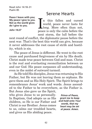Read John 14:18–31 Psalm 85

**Peace I leave with you; My peace I give to you. Not as the world gives do I give to you.** 

*John 14:27*

#### Serene Hearts

In this fallen and cursed<br>world, peace never lasts for<br>long. More often than not,<br>peace is only the calm before the n this fallen and cursed world, peace never lasts for long. More often than not, next storm, the lull before the

next round of conflict, the diplomatic pause before the next war. That's the best this world can give, because it never addresses the root cause of strife and hostility, which is sin.

The peace of Jesus is different. He went to the root cause and purchased forgiveness of sin by His death. Christ made true peace between God and man. Christ is the real and everlasting reconciliation between us and our God. His peace surpasses all understanding, even in the midst of outward turmoil.

As He told His disciples, Jesus was returning to His Father, but He was not leaving them as orphans. He gave them and us His Holy Spirit. The Spirit brings to remembrance Jesus' work and words. Jesus ascended to the Father to be everywhere, as the Father is.

But Jesus also gave us the Spirit, who gives Jesus to us personally. In Baptism, God adopts us as His children, so He is our Father and Christ is our Brother. Jesus comes to us, calms our troubled hearts, and gives us His abiding peace.

*Prince of Peace, grant me to keep and hold onto Your words, that my heart may be set at peace. Amen.*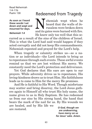Read Nehemiah  $1:4-11h$ Psalm 130

**As soon as I heard these words I sat down and wept and mourned for days.** 

#### *Nehemiah 1:4*

Redeemed from Tragedy

Nehemiah wept when he<br>heard that the walls of Je-<br>rusalem were broken down<br>and its gates were burned with fire heard that the walls of Jerusalem were broken down and its gates were burned with fire. He knew only too well that this oc-

curred as a result of the sins of the children of Israel. This is what the Lord had said would happen if they acted corruptly and did not keep His commandments. Nehemiah repented and prayed for the Lord's help.

When tragedy or calamity strikes us—as a nation or as individuals—the Lord intends to bring us to repentance through such events. These awful events remind us that we are lost without His mercy. We constantly need the Lord's protection and deliverance.

Yet God declares that His ears are open to our prayers. While adversity drives us to repentance, His loving-kindness draws us to trust Him. His faithfulness leads us to come to Him for the mercy He promises.

And He is faithful to His Word. Though misfortune may scatter and bring disarray, the Lord Jesus gathers again to Himself all who trust His holy name, the name given to us in Holy Baptism. He has redeemed us from our sins by His strong hand, the hand that bears the mark of the nail for us. By His wounds we are healed, and by His life we are restored. *O God, though we* 

*are undeserving, have mercy on us for Jesus' sake. Amen.*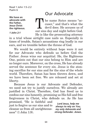Read 1 John 1:5–2:2 Psalm 6

**We have an advocate with the Father, Jesus Christ the righteous.** 

*1 John 2:1*

### Our Advocate

The name *Satan* means "ac-<br>cuser," and that's what the<br>devil does. He accuses us of cuser," and that's what the devil does. He accuses us of our sins day and night before God. He is like the prosecuting attorney

in a trial whose airtight case nails us. Especially in times of trouble, Satan's accusations ring loudly in our ears, and we tremble before the throne of God.

We would be entirely without hope were it not for our Advocate who defends us before God the Father. Jesus wins our acquittal. He, the Righteous One, points out that our sins belong to Him and are no longer ours. Moreover, on the cross, He has already served the sentence for every sin. Jesus is the atoning sacrifice for our sins and for the sins of the whole world. Therefore, Satan has been thrown down, and we have been set free. We are released and set at liberty.

Because Jesus is our Advocate and Defender, we need not try to justify ourselves. We already are justified in Christ. Therefore, God has freed us to confess our sins honestly, promising us His full and free forgiveness in Christ, who defends us. As He has promised, "He is faithful and just to forgive us our sins and to cleanse us from all unrighteousness" (1 John 1:9). *Lord Jesus, help me always to rely on You, my only Advocate and strong Defender. Amen.*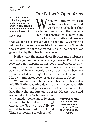Read Luke 15:11–32 Psalm 103

**But while he was still a long way off, his father saw him and felt compassion, and ran and embraced him and kissed him.** 

#### *Luke 15:20*

#### Our Father's Open Arms

When we sinners hit rock<br>won't take us back or that<br>we have to earn back the Eather's bottom, we fear that God won't take us back or that we have to earn back the Father's love. Like the prodigal son, we plan to strike a deal with God. Aware

that we don't deserve a place in the family, we plan to tell our Father to treat us like hired servants. Though the prodigal rightly confesses his sin, he doesn't yet grasp the depth of his father's love.

Notice what the father does: He runs and embraces his son *before the son can even say a word.* The father's love does not depend on his son's confession or anything else his son does. God takes us back too—not because of how sincerely we've repented or because we've decided to change. He takes us back because of His own unmerited love for us revealed in Jesus.

We are welcomed home solely because Christ also left His Father, coming down to earth to consort with tax collectors and prostitutes and the likes of us. He bore their sin and ours on the cross. He then rose and

ascended to His Father's side and will someday come again to bring us home to the Father. Through Christ the Son, we are fully restored to being children of God. That's something to celebrate!

*Heavenly Father, help me believe that Your love for me in Christ is unconditional. Amen.*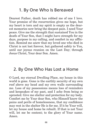## 1. By One Who Is Bereaved

Dearest Father, death has robbed me of one I love. Your promise of the resurrection gives me hope, but my heart is torn and my spirit is empty as the dearest memories now bring the deepest pain. I need Your peace. Give me the strength that sustained You in the death of Your Son, that I might have strength for my days, purpose in my calling, and comfort in my affliction. Remind me anew that my loved one who died in Christ is not lost forever, but gathered safely to You, until our joyous reunion on the Last Day; through Jesus Christ, Your dear Son. Amen.

#### 2. By One Who Has Lost a Home

O Lord, my eternal Dwelling Place, my house in this world is gone. Gone is the earthly security of my own roof above my head and my own walls surrounding me. Loss of my possessions means loss of reminders and keepsakes of my past, and I ache from being so uprooted. Give me shelter and protection for my body. Comfort me by Your dear Son, who Himself knew the pains and perils of homelessness, that my confidence may rest in the shelter He is for me. If it be Your will, let my house and home be rebuilt. If that is not Your will, let me be content; to the glory of Your name. Amen.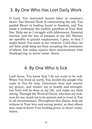## 3. By One Who Has Lost Daily Work

O Lord, You instituted honest labor at creation's dawn, You blessed Noah in constructing the ark, You guided Moses in leading Israel to freedom, and You made a craftsman the earthly guardian of Your dear Son. Help me as I struggle with joblessness, financial worries, and the loss of purpose in my life. Restore me speedily to gainful employment, I pray, so that I might honor You anew in my vocation. Until then, let not false pride keep me from accepting the assistance of others, but rather receive their ministrations with thanksgiving; in Jesus' name. Amen.

#### 4. By One Who Is Sick

Lord Jesus, You know that I do not want to be sick. When You lived on earth, You healed the people who came to You for help. Graciously hear and answer my prayer, and restore me to health and strength. Let Your will be done in my life, and make my faith strong. Through the Word of Christ, who bore my sickness for me, teach me to be patient and to trust in You in all circumstances. Throughout this illness, help me witness to Your love and saving power, so that others may come to know Your healing grace; in Jesus' name. Amen.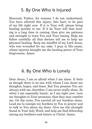## 5. By One Who Is Injured

Heavenly Father, for reasons I do not understand, You have allowed this injury, this hurt, to be part of my life right now. If it is Your will, please bring healing quickly to me. If it be Your will that healing is a long time in coming, then give me patience and strength to trust You and Your timing. Help me follow carefully all that doctors tell me to help my physical healing. Keep me mindful of my Lord Jesus, who was wounded for my sake. I pray in His name, whose injuries brought me the healing power of Your forgiveness. Amen.

#### 6. By One Who Is Lonely

Dear Jesus, I am so afraid when I am alone. It feels as though there is no one with whom I can share my thoughts, hopes, and fears. But You promise You are always with me; therefore, I am never really alone. So when I am especially lonely, as I am right now, turn my thoughts to Your promises, that they may comfort me. On the cross, You carried all our burdens alone. Lead me to consign my burdens to You in prayer and to talk to You about my fears. Give me the strength found in Your holy Word, and help me find fellowship among my brothers and sisters in Christ. Amen.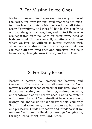## 7. For Missing Loved Ones

Father in heaven, Your eyes see into every corner of the earth. We pray for our loved ones who are missing. We fear for their safety, yet we know all things are in Your mighty and merciful hands. Graciously be with, guide, guard, strengthen, and protect those who are separated from us. Care for their every need of body and soul. If it be Your will, reunite us with those whom we love. Be with us in mercy, together with all others who also suffer uncertainty or grief. We commend all our loved ones and ourselves into Your loving care, through Jesus Christ, our Lord. Amen.

#### 8. For Daily Bread

Father in heaven, You created the heavens and the earth. You made us and all creatures. In Your mercy, provide us what we need for this day. Grant us daily bread, water, health, clothing, shelter, medicine, and whatever else You see we need. Let us be content with these tokens of Your steadfast love. You are our loving God, and for us You did not withhold Your only Son. In that same love, do not forsake us, but guard and protect us. Guide our hearts and minds so that we may see Your hand in the daily blessings You give us; through Jesus Christ, our Lord. Amen.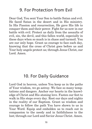## 9. For Protection from Evil

Dear God, You sent Your Son to battle Satan and evil. He faced Satan in the desert and in His ministry. In His Passion and resurrection, He gave His life to conquer them and their power. Fight for us now in our battle with evil. Protect us daily from the assaults of evil, sin, the devil, and this fallen world, especially in these days when so much is in chaos and turmoil. You are our only hope. Grant us courage to face each day, knowing that the cross of Christ goes before us and Your holy angels protect us; through Jesus Christ, our Lord. Amen.

## 10. For Daily Guidance

Lord God in heaven, unless You keep us in the paths of Your wisdom, we go astray. We face so many temptations and dangers. Anchor our hearts in the knowledge of Christ and His atoning love. Fasten our feet to walk in His steps every day. Root our days and nights in the reality of our Baptism. Grant us wisdom and courage to follow the path You have shown to us in Your Word. Equip and embolden us to reach out in compassion to the needy and in faithfulness to the lost; through our Lord and Savior Jesus Christ. Amen.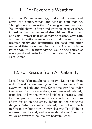## 11. For Favorable Weather

God, the Father Almighty, maker of heaven and earth, the clouds, winds, and seas do Your bidding. Though we are unworthy of Your goodness, we pray You would show us favor and grant us good weather. Guard us from extremes of drought and flood, heat and cold. Protect us from damaging storms. Give rain and sun in suitable measure so that the earth may produce richly and bountifully the food and other material things we need for this life. Cause us to be truly thankful, acknowledging You as the source of every good and perfect gift; through Jesus Christ, our Lord. Amen.

## 12. For Rescue from All Calamity

Lord Jesus, You taught us to pray, "Deliver us from evil." Therefore, we humbly beg You to rescue us from every evil of body and soul. Since this world is under the curse of sin, we are always in danger of calamity from fire and water, war and violence, scarcity and famine, pest and disease. Since You bore the curse of sin for us on the cross, defend us against these dangers. When we suffer calamity, let not our faith in You falter, but draw us ever closer to You. Help us endure unto the end, and graciously take us from this valley of sorrow to Yourself in heaven. Amen.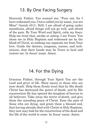## 13. By One Facing Surgery

Heavenly Father, You counsel me, "Fear not, for I have redeemed you; I have called you by name, you are Mine" (Isaiah 43:1). Still, I am afraid of going under anesthesia, afraid things will not go well, and afraid of the pain. By Your Word and Spirit, calm my fears. Help me trust that, awake or asleep, I am Yours. You chose me in Holy Baptism and redeemed me by the blood of Christ, so nothing can separate me from Your love. Guide the doctors, surgeons, nurses, and technicians, that their hands may be Yours to heal and restore me. In Jesus' name. Amen.

## 14. For the Dying

Gracious Father, through Your Spirit You are the Lord and giver of life. Show mercy to those who are near death. Help them firmly trust that by His death Christ has destroyed the power of death, and by His resurrection He has opened the kingdom of heaven to all believers. Take away the terror of death, and give them the unending peace of Christ. Ease the pain of those who are dying, and grant them a blessed end, that having already died with Christ in Holy Baptism, they now may look for the resurrection of the dead and the life of the world to come. In Jesus' name. Amen.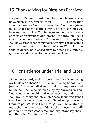# 15. Thanksgiving for Blessings Received

Heavenly Father, thank You for the blessings You have given to me, especially for \_\_\_\_\_\_\_\_\_. I know that I do not deserve Your goodness, but You have given me all that I need for this earthly life out of Your own love and mercy. And You have given me the far greater gifts of forgiveness and eternal life through Jesus Christ. You have made me Your own child in Baptism; You have strengthened my faith through the blessings of Holy Communion and the gift of Your Word. For the sake of Jesus, be pleased now to accept my humble gratitude and praise. In Jesus' name. Amen.

## 16. For Patience under Trial and Cross

I tremble, O Lord, with the very thought of comparing my trials with those You underwent on my behalf. Yet, just as You have called me to take up my cross and follow You, You also bid me to lay my burdens on You. You know the weight that oppresses me, and I pray You would carry me through these troubling times that I might know Your peace. Grant me patience as troubles persist, faith that through You I have already more than conquered, confidence that these times will pass in Your own good time, and expectant joy that I will live with You forever. Amen.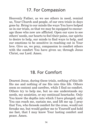## 17. For Compassion

Heavenly Father, as we see others in need, remind us, Your Church and people, of our own trials in days gone by. Bring to our minds the ways You have helped us in our trials, so that we may be equipped to encourage those who now are afflicted. Open our eyes to see others' needs, our hearts to feel their pains, our spirits to desire to help, our minds to find ways to help, and our emotions to be sensitive in reaching out in Your love. Give us, we pray, compassion to comfort others with the comfort You have given us; through Jesus Christ, our Lord. Amen.

## 18. For Comfort

Dearest Jesus, during these trials, nothing of this life fits me and nothing of me fits into this life. Others seem so content and carefree, while I find no comfort. Others try to help me, but no one understands my needs, my anxieties, or my continual heartache. Only You know the depths into which I have plunged; only You can reach me, sustain me, and lift me up. I pray that You, who forsook comfort for the cross, would not forsake me, but would gather me to Yourself and hold me fast, that I may know Your lasting comfort and peace. Amen.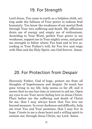## 19. For Strength

Lord Jesus, You came to earth as a helpless child, setting aside the fullness of Your power to redeem frail humanity. You know the weakness of our mortal flesh through Your own suffering and death. My afflictions drain me of energy and empty me of enthusiasm. According to Your Word, perfect Your power in my weakness, support me in Your mighty arms, and grant me strength to follow where You lead and to live according to Your Father's will; for You live and reign with Him and the Holy Spirit, one God forever. Amen.

## 20. For Protection from Despair

Heavenly Father, God of hope, protect me from all thoughts of hopelessness and despair. So much has gone wrong in my life, help seems so far off, and it seems that no one has time or interest to aid me. Open my eyes to see Your never-failing love in Jesus Christ. Place before me the suffering and death of Christ for me, that I may always know that You love me beyond measure. In every darkness and difficulty, help me trust You and Your promises, that I may live in hope. Create in me a clean heart and a willing spirit to sustain me; through Jesus Christ, my Lord. Amen.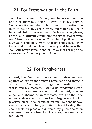## 21. For Preservation in the Faith

Lord God, heavenly Father, You have searched me and You know me. Before a word is on my tongue, You know it completely. Thank You for granting me faith in Your Son, Jesus Christ, and making me Your baptized child. Preserve me in faith even though sin, Satan, and difficult circumstances try to tear it from me. Through the power of Your Holy Spirit, root me always in Your holy Word, that by Your grace I may know and trust my Savior's mercy and believe that You will never forsake me or leave me; through the same Jesus Christ, my Lord. Amen.

## 22. For Forgiveness

O Lord, I confess that I have sinned against You and against others by the things I have done and thought and said. If You were to judge me according to my works and my motives, I would be condemned eternally. But You are gracious and merciful, slow to anger and abounding in steadfast love. For the sake of Jesus' death and resurrection, forgive me. By His precious blood, cleanse me of my sin. Help me believe that my sins were fully paid for on Good Friday, that Jesus took my place and suffered my punishment on the cross to set me free. For His sake, have mercy on me. Amen.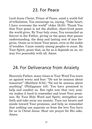Lord Jesus Christ, Prince of Peace, amid a world full of tribulation, You encourage us, saying, "Take heart; I have overcome the world" (John 16:33). Thank You that Your peace is not the shallow, short-lived peace the world gives. By Your holy cross, You reconciled us forever to the Father, giving us the peace that passes understanding, the deep and lasting rest of sins forgiven. Grant us to know Your peace, even in the midst of troubles. Cause enmity among peoples to cease. By Your Spirit, grant that, as far as it depends on us, we may live peaceably with all. Amen.

## 24. For Deliverance from Anxiety

Heavenly Father, many times in Your Word You warn us against worry and fear: "Do not be anxious about tomorrow" (Matthew 6:34); "Do not be anxious about anything" (Philippians 4:6). You have promised to help and comfort us. But right now that very anxiety makes it hard to remember and trust Your promises. By Your Holy Word and Spirit, strengthen our faith and take away our anxiety. Turn our hearts and minds toward Your promises, and help us remember that nothing can separate us from the love You have for us in Christ Jesus. Hear our prayer for His sake. Amen.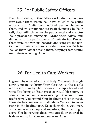## 25. For Public Safety Officers

Dear Lord Jesus, in this fallen world, distinctive dangers await those whom You have called to be police officers and firefighters. Wicked people challenge them, and evil circumstances await them; yet, by Your call, they willingly serve the public good and exercise Your providence among us. Grant them safety and diligence in the performance of their duties. Protect them from the various hazards and temptations particular to their vocations. Create or sustain faith in You as their Savior among them, keeping them secure unto life everlasting. Amen.

## 26. For Health Care Workers

O great Physician of soul and body, You work through earthly means to bring Your blessings to the people of this world. As by plain water and simple bread and wine You bring us Your great spiritual blessings, so also by the men and women serving in the health care professions You extend Your healing to those in need. Bless doctors, nurses, and all whom You call to vocations in the healing arts. Keep their skills, vigilance, and compassion sharp and sensitive, that they might serve You by serving those who are ill or injured in body or mind; for Your name's sake. Amen.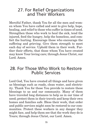### 27. For Relief Organizations and Their Workers

Merciful Father, thank You for all the men and women whom You have called and sent to give help, hope, healing, and relief to those who suffer in times of need. Strengthen those who work to heal the sick, tend the injured, feed the hungry, help the homeless, and comfort the hurting. Encourage those who encourage the suffering and grieving. Give them strength to meet each day of service. Uphold them in their work. Further their efforts, that those whom You have created may know Your loving care; through Jesus Christ, our Lord. Amen.

### 28. For Those Who Work to Restore Public Services

Lord God, You have created all things and have given us blessings such as roads, clean water, and electricity. Thank You for those You provide to restore these blessings to us and our community. Many of them have traveled long distances to help us in our time of need; protect them in their travels and keep their own homes and families safe. Bless their work, that order and public services might soon be restored to our communities. Protect these workers in any danger they might face, and help them see that the work they do is Yours; through Jesus Christ, our Lord. Amen.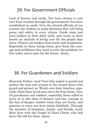## 29. For Government Officials

Lord of heaven and earth, You have chosen to rule over Your creation through the governments You have established on earth. Give the elected officials of our country the wisdom to make decisions that will bring peace and safety to every citizen. Guide state and local leaders in their daily work, and create in their hearts an attitude of loving care for the people they serve. Protect our leaders from harm and temptation. Especially in these trying times, give them the courage and confidence they need to solve the problems we face today and to plan for the future. Amen.

## 30. For Guardsmen and Soldiers

Heavenly Father, send Your holy angels to guard and protect the men and women in the armed forces who guard and protect us. Watch over their families, especially when their loved ones serve far from home. Give all guardsmen and soldiers, especially those called to serve us in this time of disaster and loss, courage in the face of danger, comfort when they are lonely, and patience to carry out their duties faithfully. Through the ministry of chaplains, family, and friends, touch their lives with the Gospel of Jesus Christ, who laid down His life for them. Amen.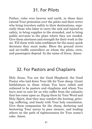## 31. For Pilots

Father, ruler over heaven and earth, in these days extend Your protection over the pilots and their crews who bring travelers safely to their destinations, especially those who labor to carry the sick and injured to safety, to bring supplies to the stranded, and to bring public servants to the place where they are needed. Give them alertness and strength for their work in the air. Fill them with calm confidence for the many quick decisions they must make. Bless the ground crews and air-traffic controllers on whom the pilots, crew, and passengers depend. In the name of Jesus. Amen.

### 32. For Pastors and Chaplains

Holy Jesus, You are the Good Shepherd, the Good Pastor who laid down Your life for Your sheep. Grant faithfulness to those whom You have called and ordained to be pastors and chaplains and whom You have sent to care for us who suffer from the calamity that has come upon us. Equip them by Your Word and Holy Spirit, that they may comfort the hurting, grieving, suffering, and lonely with Your holy consolation. Give them compassion for the sheep, declaring and bestowing Your mercy to poor sinners, and leading others on the path of righteousness for Your name's sake. Amen.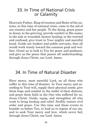## 33. In Time of National Crisis or Calamity

Heavenly Father, King of creation and Ruler of the nations, in this time of national crisis, come to the aid of our country and her people. To the dying, grant peace in Jesus; to the grieving, provide comfort in His name; to the sick or wounded, bestow healing; to the worried and confused, give trust in Your mighty and merciful hand. Guide our leaders and public servants, that all would work wisely toward the common good and welfare. Grant us to look to You for peace and guidance, and give us the peace that passes all understanding; through Jesus Christ, our Lord. Amen.

## 34. In Time of Natural Disaster

Have mercy, most merciful Lord, on all those who suffer in this time of disaster. In Your mercy and according to Your will, supply their physical needs, give them hope and comfort in the midst of their distress, and grant them faith in the One who suffered for us, Jesus Christ. Guide, equip, and strengthen all who work to bring healing and relief. Swiftly restore civil order and peace. Use this time and these events to humble us before You, to lead us to repent of our sin, and to seek Your mercy and love, which never fail; through Jesus Christ, our Lord. Amen.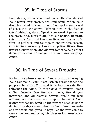## 35. In Time of Storms

Lord Jesus, while You lived on earth You showed Your power over storms, sea, and wind. When Your disciples called to You for help, You spoke Your word of peace into the storm. Help us now in the face of this frightening storm. Speak Your word of peace into the storm and, most of all, into our hearts. Restrain this storm's fury, and keep our lives and homes safe. Give us patience and courage to endure this season, trusting in Your mercy. Protect all police officers, firefighters, guardsmen, and aid workers who help others during this time of danger. In Your name we pray. Amen.

## 36. In Time of Severe Drought

Father, Scripture speaks of snow and mist obeying Your command. Your Word, which accomplishes the purpose for which You send it, is like the rain that refreshes the earth. In these days of drought, crops suffer, farmers face financial harm, fire danger increases, and all creation thirsts. While our food withers, we ourselves are tempted to doubt Your loving care for us. Send us the rain we need so badly during this dry season. Just as Your Word refreshes our hearts and gives us hope, let the rain come to renew the land and bring life. Hear us for Jesus' sake. Amen.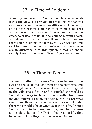## 37. In Time of Epidemic

Almighty and merciful God, although You have allowed this disease to break out among us, we confess that our sins merit even worse afflictions. Have mercy on us, for You gave Your Son to bear our sicknesses and sorrows. For the sake of Jesus' anguish on the cross, be gracious to us. If it be Your will, grant health and strength to all who are ill and whose lives are threatened. Comfort the bereaved. Give wisdom and skill to those in the medical profession and to all who are in authority, that this epidemic may be ended swiftly; through Jesus, our Great Physician. Amen.

## 38. In Time of Famine

Heavenly Father, You cause Your sun to rise on the evil and the good and send rain on the righteous and the unrighteous. For the sake of Jesus, who hungered in the wilderness for us and reconciled the world to You, show mercy to those who now suffer from famine and hunger. Provide for their needs and preserve their lives. Bring forth the fruits of the earth. Hinder those who would take advantage of the needy. Prompt Your Church to be generous in giving help. Cause all people to hunger for Christ, the bread of life, that believing in Him they may live forever. Amen.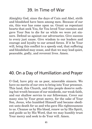## 39. In Time of War

Almighty God, since the days of Cain and Abel, strife and bloodshed have been among men. Because of our sin, this war has come upon us. Grant us repentant hearts that seek You, for You loved Your enemies and gave Your Son to die for us while we were yet sinners. Defend us against our adversaries. Give success to every just cause. Give wisdom to our leaders and courage and loyalty to our armed forces. If it be Your will, bring this conflict to a speedy end, that suffering and bloodshed may cease, and that we may lead quiet, peaceable, godly, and reverent lives. Amen.

## 40. On a Day of Humiliation and Prayer

O God, have pity on us poor, miserable sinners. We have no merits of our own to bring into Your presence. This land, this Church, and this people deserve nothing but wrath because of our misdeeds, our weak faith, and our shallow service to our fellowman. Cover our many sins by Your great mercy, for the sake of Your Son, Jesus, who humbled Himself and became obedient unto death for us and who gave His righteousness to us. Cleanse us by His blood, renew us by His Spirit, and guide us by His Word, that we may humbly trust Your mercy and seek to do Your will. Amen.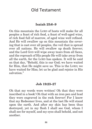### Old Testament

#### Isaiah 25:6–9

On this mountain the LORD of hosts will make for all peoples a feast of rich food, a feast of well-aged wine, of rich food full of marrow, of aged wine well refined. And He will swallow up on this mountain the covering that is cast over all peoples, the veil that is spread over all nations. He will swallow up death forever; and the Lord GOD will wipe away tears from all faces, and the reproach of His people He will take away from all the earth, for the LORD has spoken. It will be said on that day, "Behold, this is our God; we have waited for Him, that He might save us. This is the LORD; we have waited for Him; let us be glad and rejoice in His salvation<sup>"</sup>

#### Job 19:23–27

Oh that my words were written! Oh that they were inscribed in a book! Oh that with an iron pen and lead they were engraved in the rock forever! For I know that my Redeemer lives, and at the last He will stand upon the earth. And after my skin has been thus destroyed, yet in my flesh I shall see God, whom I shall see for myself, and my eyes shall behold, and not another.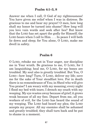Answer me when I call, O God of my righteousness! You have given me relief when I was in distress. Be gracious to me and hear my prayer! O men, how long shall my honor be turned into shame? How long will you love vain words and seek after lies? But know that the LORD has set apart the godly for Himself; the LORD hears when I call to  $\lim_{x \to 0}$ . In peace I will both lie down and sleep; for You alone, O LORD, make me dwell in safety.

#### Psalm 6

O Lord, rebuke me not in Your anger, nor discipline me in Your wrath. Be gracious to me, O LORD, for I am languishing; heal me, O LORD, for my bones are troubled. My soul also is greatly troubled. But You, O LORD—how long? Turn, O LORD, deliver my life; save me for the sake of Your steadfast love. For in death there is no remembrance of You; in Sheol who will give You praise? I am weary with my moaning; every night I flood my bed with tears; I drench my couch with my weeping. My eye wastes away because of grief; it grows weak because of all my foes. Depart from me, all you workers of evil, for the LORD has heard the sound of my weeping. The LORD had heard my plea; the LORD accepts my prayer. All my enemies shall be ashamed and greatly troubled; they shall turn back and be put to shame in a moment.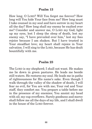#### Psalm 13

How long, O LORD? Will You forget me forever? How long will You hide Your face from me? How long must I take counsel in my soul and have sorrow in my heart all the day? How long shall my enemy be exalted over me? Consider and answer me, O LORD my God; light up my eyes, lest I sleep the sleep of death, lest my enemy say, "I have prevailed over him," lest my foes rejoice because I am shaken. But I have trusted in Your steadfast love; my heart shall rejoice in Your salvation. I will sing to the LORD, because He has dealt bountifully with me.

#### Psalm 23

The LORD is my shepherd; I shall not want. He makes me lie down in green pastures. He leads me beside still waters. He restores my soul. He leads me in paths of righteousness for His name's sake. Even though I walk through the valley of the shadow of death, I will fear no evil, for You are with me; Your rod and Your staff, they comfort me. You prepare a table before me in the presence of my enemies; You anoint my head with oil; my cup overflows. Surely goodness and mercy shall follow me all the days of my life, and I shall dwell in the house of the LORD forever.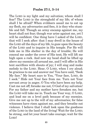The LORD is my light and my salvation; whom shall I fear? The LORD is the stronghold of my life; of whom shall I be afraid? When evildoers assail me to eat up my flesh, my adversaries and foes, it is they who stumble and fall. Though an army encamp against me, my heart shall not fear; though war arise against me, yet I will be confident. One thing have I asked of the LORD, that will I seek after: that I may dwell in the house of the LORD all the days of my life, to gaze upon the beauty of the Lord and to inquire in His temple. For He will hide me in His shelter in the day of trouble; He will conceal me under the cover of His tent; He will lift me high upon a rock. And now my head shall be lifted up above my enemies all around me, and I will offer in His tent sacrifices with shouts of joy; I will sing and make melody to the LORD. Hear, O LORD, when I cry aloud; be gracious to me and answer me! You have said, "Seek My face." My heart says to You, "Your face, LORD, do I seek." Hide not Your face from me. Turn not Your servant away in anger, O You who have been my help. Cast me not off; forsake me not, O God of my salvation! For my father and my mother have forsaken me, but the LORD will take me in. Teach me Your way, O LORD, and lead me on a level path because of my enemies. Give me not up to the will of my adversaries; for false witnesses have risen against me, and they breathe out violence. I believe that I shall look upon the goodness of the LORD in the land of the living! Wait for the LORD; be strong, and let your heart take courage; wait for the LORD!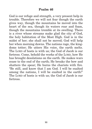#### Psalm 46

God is our refuge and strength, a very present help in trouble. Therefore we will not fear though the earth gives way, though the mountains be moved into the heart of the sea, though its waters roar and foam, though the mountains tremble at its swelling. There is a river whose streams make glad the city of God, the holy habitation of the Most High. God is in the midst of her; she shall not be moved; God will help her when morning dawns. The nations rage, the kingdoms totter; He utters His voice, the earth melts. The LORD of hosts is with us; the God of Jacob is our fortress. Come, behold the works of the LORD, how He has brought desolations on the earth. He makes wars cease to the end of the earth; He breaks the bow and shatters the spear; He burns the chariots with fire. "Be still, and know that I am God. I will be exalted among the nations, I will be exalted in the earth!" The LORD of hosts is with us; the God of Jacob is our fortress.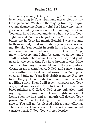Have mercy on me, O God, according to Your steadfast love; according to Your abundant mercy blot out my transgressions. Wash me thoroughly from my iniquity, and cleanse me from my sin! For I know my transgressions, and my sin is ever before me. Against You, You only, have I sinned and done what is evil in Your sight, so that You may be justified in Your words and blameless in Your judgment. Behold, I was brought forth in iniquity, and in sin did my mother conceive me. Behold, You delight in truth in the inward being, and You teach me wisdom in the secret heart. Purge me with hyssop, and I shall be clean; wash me, and I shall be whiter than snow. Let me hear joy and gladness; let the bones that You have broken rejoice. Hide Your face from my sins, and blot out all my iniquities. Create in me a clean heart, O God, and renew a right spirit within me. Cast me not away from Your presence, and take not Your Holy Spirit from me. Restore to me the joy of Your salvation, and uphold me with a willing spirit. Then I will teach transgressors Your ways, and sinners will return to You. Deliver me from bloodguiltiness, O God, O God of my salvation, and my tongue will sing aloud of Your righteousness. O LORD, open my lips, and my mouth will declare Your praise. For You will not delight in sacrifice, or I would give it; You will not be pleased with a burnt offering. The sacrifices of God are a broken spirit; a broken and contrite heart, O God, You will not despise.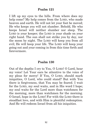#### Psalm 121

I lift up my eyes to the hills. From where does my help come? My help comes from the LORD, who made heaven and earth. He will not let your foot be moved; He who keeps you will not slumber. Behold, He who keeps Israel will neither slumber nor sleep. The LORD is your keeper; the LORD is your shade on your right hand. The sun shall not strike you by day, nor the moon by night. The LORD will keep you from all evil; He will keep your life. The LORD will keep your going out and your coming in from this time forth and forevermore.

#### Psalm 130

Out of the depths I cry to You, O LORD! O Lord, hear my voice! Let Your ears be attentive to the voice of my pleas for mercy! If You, O LORD, should mark iniquities, O Lord, who could stand? But with You there is forgiveness, that You may be feared. I wait for the LORD, my soul waits, and in His word I hope; my soul waits for the Lord more than watchmen for the morning, more than watchmen for the morning. O Israel, hope in the LORD! For with the LORD there is steadfast love, and with Him is plentiful redemption. And He will redeem Israel from all his iniquities.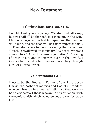### New Testament

#### 1 Corinthians 15:51–52, 54–57

Behold! I tell you a mystery. We shall not all sleep, but we shall all be changed, in a moment, in the twinkling of an eye, at the last trumpet. For the trumpet will sound, and the dead will be raised imperishable. . . . Then shall come to pass the saying that is written: "Death is swallowed up in victory." "O death, where is your victory? O death, where is your sting?" The sting of death is sin, and the power of sin is the law. But thanks be to God, who gives us the victory through our Lord Jesus Christ.

#### 2 Corinthians 1:3–4

Blessed be the God and Father of our Lord Jesus Christ, the Father of mercies and God of all comfort, who comforts us in all our affliction, so that we may be able to comfort those who are in any affliction, with the comfort with which we ourselves are comforted by God.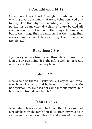#### 2 Corinthians 4:16–18

So we do not lose heart. Though our outer nature is wasting away, our inner nature is being renewed day by day. For this slight momentary affliction is preparing for us an eternal weight of glory beyond all comparison, as we look not to the things that are seen but to the things that are unseen. For the things that are seen are transient, but the things that are unseen are eternal.

#### Ephesians 2:8–9

By grace you have been saved through faith. And this is not your own doing; it is the gift of God, not a result of works, so that no one may boast.

#### John 5:24

[Jesus said to them,] "Truly, truly, I say to you, whoever hears My word and believes Him who sent Me has eternal life. He does not come into judgment, but has passed from death to life."

#### John 11:17–27

Now when Jesus came, He found that Lazarus had already been in the tomb four days. Bethany was near Jerusalem, about two miles off, and many of the Jews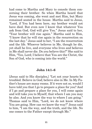had come to Martha and Mary to console them concerning their brother. So when Martha heard that Jesus was coming, she went and met Him, but Mary remained seated in the house. Martha said to Jesus, "Lord, if You had been here, my brother would not have died. But even now I know that whatever You ask from God, God will give You." Jesus said to her, "Your brother will rise again." Martha said to Him, "I know that he will rise again in the resurrection on the last day." Jesus said to her, "I am the resurrection and the life. Whoever believes in Me, though he die, yet shall he live, and everyone who lives and believes in Me shall never die. Do you believe this?" She said to Him, "Yes, Lord; I believe that You are the Christ, the Son of God, who is coming into the world."

#### John 14:1–6

[Jesus said to His disciples,] "Let not your hearts be troubled. Believe in God; believe also in Me. In My Father's house are many rooms. If it were not so, would I have told you that I go to prepare a place for you? And if I go and prepare a place for you, I will come again and will take you to Myself, that where I am you may be also. And you know the way to where I am going." Thomas said to Him, "Lord, we do not know where You are going. How can we know the way?" Jesus said to him, "I am the way, and the truth, and the life. No one comes to the Father except through Me."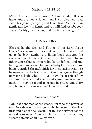[At that time Jesus declared,] "Come to Me, all who labor and are heavy laden, and I will give you rest. Take My yoke upon you, and learn from Me, for I am gentle and lowly in heart, and you will find rest for your souls. For My yoke is easy, and My burden is light."

#### 1 Peter 1:3–7

Blessed be the God and Father of our Lord Jesus Christ! According to His great mercy, He has caused us to be born again to a living hope through the resurrection of Jesus Christ from the dead, to an inheritance that is imperishable, undefiled, and unfading, kept in heaven for you, who by God's power are being guarded through faith for a salvation ready to be revealed in the last time. In this you rejoice, though now for a little while . . . you have been grieved by various trials, so that the tested genuineness of your faith . . . may be found to result in praise and glory and honor at the revelation of Jesus Christ.

#### Romans 1:16–17

I am not ashamed of the gospel, for it is the power of God for salvation to everyone who believes, to the Jew first and also to the Greek. For in it the righteousness of God is revealed from faith for faith, as it is written, "The righteous shall live by faith."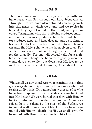Therefore, since we have been justified by faith, we have peace with God through our Lord Jesus Christ. Through Him we have also obtained access by faith into this grace in which we stand, and we rejoice in hope of the glory of God. More than that, we rejoice in our sufferings, knowing that suffering produces endurance, and endurance produces character, and character produces hope, and hope does not put us to shame, because God's love has been poured into our hearts through the Holy Spirit who has been given to us. For while we were still weak, at the right time Christ died for the ungodly. For one will scarcely die for a righteous person—though perhaps for a good person one would dare even to die—but God shows His love for us in that while we were still sinners, Christ died for us.

#### Romans 6:1–5

What shall we say then? Are we to continue in sin that grace may abound? By no means! How can we who died to sin still live in it? Do you not know that all of us who have been baptized into Christ Jesus were baptized into His death? We were buried therefore with Him by baptism into death, in order that, just as Christ was raised from the dead by the glory of the Father, we too might walk in newness of life. For if we have been united with Him in a death like His, we shall certainly be united with Him in a resurrection like His.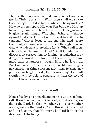There is therefore now no condemnation for those who are in Christ Jesus. . . . What then shall we say to these things? If God is for us, who can be against us? He who did not spare His own Son but gave Him up for us all, how will He not also with Him graciously give us all things? Who shall bring any charge against God's elect? It is God who justifies. Who is to condemn? Christ Jesus is the one who died—more than that, who was raised—who is at the right hand of God, who indeed is interceding for us. Who shall separate us from the love of Christ? Shall tribulation, or distress, or persecution, or famine, or nakedness, or danger, or sword? . . . No, in all these things we are more than conquerors through Him who loved us. For I am sure that neither death nor life, nor angels nor rulers, nor things present nor things to come, nor powers, nor height nor depth, nor anything else in all creation, will be able to separate us from the love of God in Christ Jesus our Lord.

#### Romans 14:7–9

None of us lives to himself, and none of us dies to himself. If we live, we live to the Lord, and if we die, we die to the Lord. So then, whether we live or whether we die, we are the Lord's. For to this end Christ died and lived again, that He might be Lord both of the dead and of the living.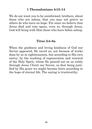#### 1 Thessalonians 4:13–14

We do not want you to be uninformed, brothers, about those who are asleep, that you may not grieve as others do who have no hope. For since we believe that Jesus died and rose again, even so, through Jesus, God will bring with Him those who have fallen asleep.

#### Titus 3:4–8a

When the goodness and loving kindness of God our Savior appeared, He saved us, not because of works done by us in righteousness, but according to His own mercy, by the washing of regeneration and renewal of the Holy Spirit, whom He poured out on us richly through Jesus Christ our Savior, so that being justified by His grace we might become heirs according to the hope of eternal life. The saying is trustworthy.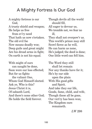## A Mighty Fortress Is Our God

A mighty fortress is our God, A trusty shield and weapon; He helps us free from ev'ry need That hath us now o'ertaken. The old evil foe Now means deadly woe; Deep guile and great might Are his dread arms in fight; On earth is not his equal.

With might of ours can naught be done, Soon were our loss effected; But for us fights the valiant One, Whom God Himself elected. Ask ye, Who is this? Jesus Christ it is, Of sabaoth Lord, And there's none other God; He holds the field forever.

Though devils all the world should fill, All eager to devour us, We tremble not, we fear no ill, They shall not overpow'r us. This world's prince may still Scowl fierce as he will, He can harm us none, He's judged; the deed is done; One little word can fell him.

The Word they still shall let remain Nor any thanks have for it; He's by our side upon the plain With His good gifts and Spirit. And take they our life, Goods, fame, child, and wife, Though these all be gone, Our vict'ry has been won; The Kingdom ours remaineth.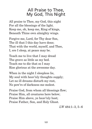## All Praise to Thee, My God, This Night

All praise to Thee, my God, this night For all the blessings of the light. Keep me, oh, keep me, King of kings, Beneath Thine own almighty wings.

Forgive me, Lord, for Thy dear Son, The ill that I this day have done; That with the world, myself, and Thee, I, ere I sleep, at peace may be.

Teach me to live that I may dread The grave as little as my bed. Teach me to die that so I may Rise glorious at the awesome day.

When in the night I sleepless lie, My soul with heav'nly thoughts supply; Let no ill dreams disturb my rest, No pow'rs of darkness me molest.

Praise God, from whom all blessings flow; Praise Him, all creatures here below; Praise Him above, ye heav'nly host; Praise Father, Son, and Holy Ghost.

*LW* 484:1–3, 5–6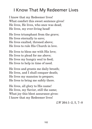## I Know That My Redeemer Lives

I know that my Redeemer lives! What comfort this sweet sentence gives! He lives, He lives, who once was dead; He lives, my ever-living head!

He lives triumphant from the grave; He lives eternally to save; He lives exalted, throned above; He lives to rule His Church in love.

He lives to bless me with His love; He lives to plead for me above; He lives my hungry soul to feed; He lives to help in time of need.

He lives and grants me daily breath; He lives, and I shall conquer death; He lives my mansion to prepare; He lives to bring me safely there.

He lives, all glory to His name! He lives, my Savior, still the same; What joy this blest assurance gives: I know that my Redeemer lives!

*LW* 264:1–2, 5, 7–8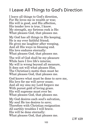# I Leave All Things to God's Direction

I leave all things to God's direction, For He loves me in wealth or woe; His will is good, and His affection, His tender love is true, I know. My strength, my fortress rock is He: What pleases God, that pleases me. My God has all things in His keeping, He is my ever faithful friend; He gives me laughter after weeping, And all His ways in blessing end. His love endures eternally: What pleases God, that pleases me. The will of God shall be my pleasure While here I live life's interim; My will is wrong beyond all measure, It does not will what pleases Him. The Christian's motto then must be: What pleases God, that pleases me. God knows what must be done to save me, His love for me will never cease; And all my sins my Lord forgave me With purest gold of loving grace. His will supreme must ever be: What pleases God, that pleases me. My God desires each soul's salvation, My soul He too desires to save; Therefore with Christian resignation All earthly troubles I will brave. His will be done eternally: What pleases God, that pleases me.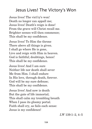## Jesus Lives! The Victory's Won

Jesus lives! The vict'ry's won! Death no longer can appall me; Jesus lives! Death's reign is done! From the grave will Christ recall me. Brighter scenes will then commence; This shall be my confidence.

Jesus lives! To Him the throne There above all things is given. I shall go where He is gone, Live and reign with Him in heaven. God is faithful; doubtings, hence! This shall be my confidence.

Jesus lives! And I am sure Neither life nor death shall sever Me from Him. I shall endure In His love, through death, forever. God will be my sure defense; This shall be my confidence.

Jesus lives! And now is death But the gate of life immortal; This shall calm my trembling breath When I pass its gloomy portal. Faith shall cry, as fails each sense: Jesus is my confidence!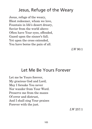## Jesus, Refuge of the Weary

Jesus, refuge of the weary, Blest redeemer, whom we love, Fountain in life's desert dreary, Savior from the world above: Often have Your eyes, offended, Gazed upon the sinner's fall; Yet upon the cross extended, You have borne the pain of all.

 $LW$  90 $\cdot$ 1

## Let Me Be Yours Forever

Let me be Yours forever, My gracious God and Lord; May I forsake You never Nor wander from Your Word. Preserve me from the mazes Of error and distrust, And I shall sing Your praises Forever with the just.

*LW* 257:1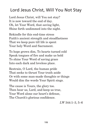## Lord Jesus Christ, Will You Not Stay

Lord Jesus Christ, will You not stay? It is now toward the end of day. Oh, let Your Word, that saving light, Shine forth undimmed into the night.

Rekindle for this end-time stress Faith's ancient strength and steadfastness That we keep pure till life is spent Your holy Word and Sacrament.

To hope grown dim, To hearts turned cold Speak tongues of fire and make us bold To shine Your Word of saving grace Into each dark and loveless place.

Restrain, O Lord, the human pride That seeks to thrust Your truth aside Or with some man-made thoughts or things Would dim the words Your Spirit sings.

The cause is Yours, the glory too. Then hear us, Lord, and keep us true, Your Word alone our heart's defense, The Church's glorious confidence.

*LW* 344:1–3, 5–6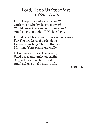### Lord, Keep Us Steadfast in Your Word

Lord, keep us steadfast in Your Word; Curb those who by deceit or sword Would wrest the kingdom from Your Son And bring to naught all He has done.

Lord Jesus Christ, Your pow'r make known, For You are Lord of lords alone; Defend Your holy Church that we May sing Your praise eternally.

O Comforter of priceless worth, Send peace and unity on earth; Support us in our final strife And lead us out of death to life.

*LSB* 655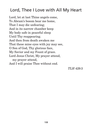## Lord, Thee I Love with All My Heart

Lord, let at last Thine angels come, To Abram's bosom bear me home, That I may die unfearing; And in its narrow chamber keep My body safe in peaceful sleep Until Thy reappearing. And then from death awaken me That these mine eyes with joy may see, O Son of God, Thy glorious face, My Savior and my Fount of grace. Lord Jesus Christ, My prayer attend, my prayer attend, And I will praise Thee without end.

*TLH* 429:3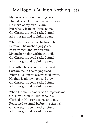## My Hope Is Built on Nothing Less

My hope is built on nothing less Than Jesus' blood and righteousness; No merit of my own I claim But wholly lean on Jesus' name. On Christ, the solid rock, I stand; All other ground is sinking sand.

When darkness veils His lovely face, I rest on His unchanging grace; In ev'ry high and stormy gale My anchor holds within the veil. On Christ, the solid rock, I stand; All other ground is sinking sand.

His oath, His covenant, His blood Sustain me in the raging flood; When all supports are washed away, He then is all my hope and stay. On Christ, the solid rock, I stand; All other ground is sinking sand.

When He shall come with trumpet sound, Oh, may I then in Him be found, Clothed in His righteousness alone, Redeemed to stand before the throne! On Christ, the solid rock, I stand; All other ground is sinking sand.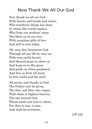### Now Thank We All Our God

Now thank we all our God With hearts and hands and voices, Who wondrous things has done, In whom His world rejoices; Who from our mothers' arms Has blest us on our way With countless gifts of love And still is ours today.

Oh, may this bounteous God Through all our life be near us, With ever joyful hearts And blessed peace to cheer us And keep us in His grace And guide us when perplexed And free us from all harm In this world and the next!

All praise and thanks to God The Father now be given, The Son, and Him who reigns With them in highest heaven, The one eternal God, Whom earth and heav'n adore; For thus it was, is now, And shall be evermore.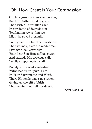## Oh, How Great Is Your Compassion

Oh, how great is Your compassion, Faithful Father, God of grace, That with all our fallen race In our depth of degradation You had mercy so that we Might be saved eternally!

Your great love for this has striven That we may, from sin made free, Live with You eternally. Your dear Son Himself has given And extends His gracious call, To His supper leads us all.

Firmly to our soul's salvation Witnesses Your Spirit, Lord, In Your Sacraments and Word. There He sends true consolation, Giving us the gift of faith That we fear not hell nor death.

*LSB* 559:1–3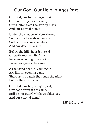## Our God, Our Help in Ages Past

Our God, our help in ages past, Our hope for years to come, Our shelter from the stormy blast, And our eternal home:

Under the shadow of Your throne Your saints have dwelt secure; Sufficient is Your arm alone, And our defense is sure.

Before the hills in order stood Or earth received its frame, From everlasting You are God, To endless years the same.

A thousand ages in Your sight Are like an evening gone, Short as the watch that ends the night Before the rising sun.

Our God, our help in ages past, Our hope for years to come, Still be our guard while troubles last And our eternal home!

*LW* 180:1–4, 6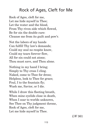## Rock of Ages, Cleft for Me

Rock of Ages, cleft for me, Let me hide myself in Thee; Let the water and the blood, From Thy riven side which flowed, Be for sin the double cure: Cleanse me from its guilt and pow'r.

Not the labors of my hands Can fulfill Thy law's demands; Could my zeal no respite know, Could my tears forever flow, All for sin could not atone; Thou must save, and Thou alone.

Nothing in my hand I bring; Simply to Thy cross I cling. Naked, come to Thee for dress; Helpless, look to Thee for grace; Foul, I to the fountain fly; Wash me, Savior, or I die.

While I draw this fleeting breath, When mine eyelids close in death, When I soar to worlds unknown. See Thee on Thy judgment throne, Rock of Ages, cleft for me, Let me hide myself in Thee.

*LW* 361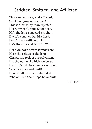### Stricken, Smitten, and Afflicted

Stricken, smitten, and afflicted, See Him dying on the tree! This is Christ, by man rejected; Here, my soul, your Savior see. He's the long-expected prophet, David's son, yet David's Lord. Proofs I see sufficient of it: He's the true and faithful Word.

Here we have a firm foundation; Here the refuge of the lost; Christ, the rock of our salvation, His the name of which we boast. Lamb of God, for sinners wounded, Sacrifice to cancel guilt! None shall ever be confounded Who on Him their hope have built.

*LW* 116:1, 4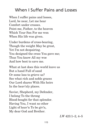### When I Suffer Pains and Losses

When I suffer pains and losses, Lord, be near, Let me hear Comfort under crosses. Point me, Father, to the heaven Which Your Son For me won When His life was given.

Under burdens of cross-bearing, Though the weight May be great, Yet I'm not despairing. You designed the cross You gave me; Thus You know All my woe And how best to save me.

What at last does this world leave us But a hand Full of sand Or some loss to grieve us? See what rich and noble graces Our Lord shares With His heirs In the heav'nly places.

Savior, Shepherd, my Defender, I belong To the throng Blood-bought for that splendor. Having You, I want no other Light of heav'n To be giv'n, My dear God and Brother.

*LW* 423:1–2, 4–5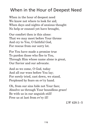## When in the Hour of Deepest Need

When in the hour of deepest need We know not where to look for aid: When days and nights of anxious thought No help or counsel yet have brought,

Our comfort then is this alone: That we may meet before Your throne And cry to You, O faithful God, For rescue from our sorry lot.

For You have made a promise true To pardon those who flee to You, Through Him whose name alone is great, Our Savior and our advocate.

And so we come, O God, today And all our woes before You lay; For sorely tried, cast down, we stand, Perplexed by fears on ev'ry hand.

Oh, from our sins hide not Your face; Absolve us through Your boundless grace! Be with us in our anguish still! Free us at last from ev'ry ill!

*LW* 428:1–5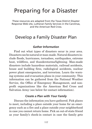# Preparing for a Disaster

These resources are adapted from the Texas District Disaster Response Web site, Lutheran Family Services in the Carolinas, and the American Red Cross.

### Develop a Family Disaster Plan

#### *Gather Information*

Find out what types of disasters occur in your area. Disasters can be natural or man-made. Natural disasters include floods, hurricanes, tornadoes, earthquakes, extreme heat, wildfires, and thunderstorms/lightning. Man-made disasters include hazardous materials, railroad accidents, house and building fires, radiological accidents, nuclear power plant emergencies, and terrorism. Learn the warning systems and evacuation plans in your community. This information can be gathered from the National Weather Service, the Office of Emergency Management, and nonprofit organizations like the American Red Cross and Salvation Army (see below for contact information).

#### *Create a Plan with Your Family*

Discuss the information you have gathered. Pick places to meet, including a place outside your home for an emergency such as a fire and a place outside your neighborhood in case you cannot return home. Pick an out-of-state friend as your family's check-in contact in case the family gets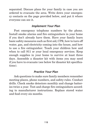separated. Discuss plans for your family in case you are ordered to evacuate the area. Write down your emergency contacts on the page provided below, and put it where everyone can see it.

#### *Implement Your Plan*

Post emergency telephone numbers by the phone. Install smoke alarms and fire extinguishers in your home if you don't already have them. Have your family learn basic safety measures such as first aid, CPR, how to turn off water, gas, and electricity coming into the house, and how to use a fire extinguisher. Teach your children how and when to call 911 or your local emergency services. Keep enough supplies in your home to survive at least three days. Assemble a disaster kit with items you may need if you have to evacuate (see below for disaster kit specifications).

#### *Practice Your Plan*

Ask questions to make sure family members remember meeting places, phone numbers, and safety rules. Conduct drills. Check smoke detectors monthly and change batteries twice a year. Test and charge fire extinguishers according to manufacturer instructions. Replace stored water and food every six months.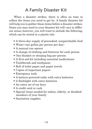## A Family Disaster Kit

When a disaster strikes, there is often no time to collect the items you need to get by. A family disaster kit will help you to gather these items before a disaster strikes. Items you may need in your disaster kit will vary in different areas; however, you will want to include the following, which can be stored in a plastic tub:

- A three-day supply of precooked, nonperishable food
- Water (one gallon per person per day)
- A manual can opener
- A change of clothing and footwear for each person
- One blanket or sleeping bag per person
- A first-aid kit including essential medications
- Toothbrush and toothpaste
- Roll of toilet paper and paper towels
- Copies of important papers
- Emergency tools
- A battery-powered radio with extra batteries
- A flashlight with extra batteries
- An extra set of car keys
- A credit card or cash
- Special items needed for infant, elderly, or disabled members of your family
- Sanitation supplies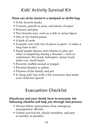## Kids' Activity Survival Kit

#### *These can all be stored in a backpack or duffel bag:*

- A few favorite books
- Crayons, pencils or pens, and plenty of paper
- Scissors and glue
- Two favorite toys, such as a doll or action figure
- One or two board games
- A deck of cards
- A puzzle (one with lots of pieces is good—it takes a long time to do!)
- Small people figures and vehicles to play out what is happening during a disaster—such as ambulance, fire truck, helicopter, dump truck, police car, small boats
- Favorite stuffed animal or puppet
- Favorite blanket or pillow
- Pictures of the family and pet
- A "keep safe" box with a few treasures that make your child feel special

## Evacuation Checklist

#### *Should you and your family have to evacuate, the following checklist will help you through that process:*

- Always follow instructions from emergency management officials.
- Collect survival kit, family members, and pets as quickly as possible.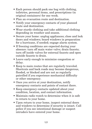- Each person should pack one bag with clothing, toiletries, personal items, and prescriptions (in original containers) for one week.
- Plan an evacuation route and destination.
- Notify your emergency contacts of your planned route and destination.
- Wear sturdy clothing and take additional clothing depending on weather and season.
- Secure your home: unplug appliances; close and lock doors and windows; board windows in preparation for a hurricane, if needed; engage alarm system.
- If freezing conditions are expected during your absence: turn off main water valve; drain faucets; turn off inside valves for external faucets and open outside faucets to drain.
- Leave early enough to minimize congestion or delay.
- Keep to main routes that are regularly traveled. Shortcuts and back roads may become dangerous, flooded, or blocked and are not as regularly patrolled if you experience mechanical difficulty or other emergency.
- Once you arrive at your destination, notify emergency contacts and points of contact there.
- Keep emergency contacts updated about your condition, location, and contact information.
- Maintain radio watch to determine when it is safe to return to your home.
- Upon return to your home, inspect external doors and windows to determine if security is intact. Call police if you see intentional damage or suspect intruders have entered your home.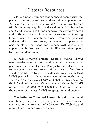### Disaster Resources

**211** is a phone number that connects people with important community services and volunteer opportunities. You can dial it just as you would 411 for information or 911 for an emergency. It provides callers with information about and referrals to human services for everyday needs and in times of crisis. 211 can offer access to the following types of services: Basic human-needs resources; physical and mental health resources; employment supports; support for older Americans and persons with disabilities; support for children, youth, and families; volunteer opportunities and donations.

**A local Lutheran Church—Missouri Synod (LCMS) congregation** can help to provide you with spiritual support during a time of crisis. The pastor can also help to connect you to local resources that may also be of service to you during difficult times. If you don't know who your local LCMS pastor is, or if you have evacuated to another city, you can log on to *www.lcms.org* and click on directories on the left side of the page. Or, you can call the main LCMS number at 1-888-843-5267 (1-888-The-LCMS) and ask for the number of the local LCMS congregation and pastor.

**The Lutheran Church—Missouri Synod** is a national church body that can help direct you to the resources that you need in the aftermath of a disaster. The Web site and main phone number are listed above.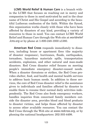**LCMS World Relief & Human Care** is a branch within the LCMS that focuses on reaching out in mercy and compassion to those in need motivated by and in the clear name of Christ and His Gospel and according to the beautiful Lutheran confession of the faith. Within the Synod, this organization works closely with those who have been affected by disasters of any kind, providing a variety of resources to those in need. You can contact LCMS World Relief and Human Care through the Web site at *worldrelief .lcms.org* or by phone at 1-800-248-1930 x1380.

**American Red Cross** responds immediately to disasters, including house or apartment fires (the majority of disaster responses), hurricanes, floods, earthquakes, tornadoes, hazardous materials spills, transportation accidents, explosions, and other natural and man-made disasters. Red Cross disaster relief focuses on meeting people's immediate emergency disaster-caused needs. When a disaster threatens or strikes, the Red Cross provides shelter, food, and health and mental health services to address basic human needs. In addition to these services, the core of Red Cross disaster relief is the assistance given to individuals and families affected by disaster to enable them to resume their normal daily activities independently. The Red Cross also feeds emergency workers, handles inquiries from concerned family members outside the disaster area, provides blood and blood products to disaster victims, and helps those affected by disaster to access other available resources. You can contact the Red Cross through the Web site at *www.redcross.org*, or by phoning the national headquarters: 202-303-4498.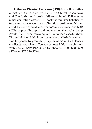**Lutheran Disaster Response (LDR)** is a collaborative ministry of the Evangelical Lutheran Church in America and The Lutheran Church—Missouri Synod. Following a major domestic disaster, LDR seeks to minister holistically to the unmet needs of those affected, regardless of faith or creed. Lutheran social ministry organizations serve as LDR affiliates providing spiritual and emotional care, hardship grants, long-term recovery, and volunteer coordination. The mission of LDR is to demonstrate Christ's compassion for people by promoting hope, healing, and wholeness for disaster survivors. You can contact LDR through their Web site at www.ldr.org; or by phoning 1-800-638-3522 x2748, or 773-380-2748.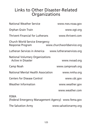### Links to Other Disaster-Related **Organizations**

| <b>National Weather Service</b>                                      | www.nws.noaa.gov                                      |
|----------------------------------------------------------------------|-------------------------------------------------------|
| Orphan Grain Train                                                   | www.ogt.org                                           |
| <b>Thrivent Financial for Lutherans</b>                              | www.thrivent.com                                      |
| <b>Church World Service Emergency</b><br>Response Program            | www.churchworldservice.org                            |
|                                                                      | Lutheran Services in America www.lutheranservices.org |
| <b>National Voluntary Organizations</b><br><b>Active in Disaster</b> | www.nvoad.org                                         |
| Camp Noah                                                            | www.campnoah.org                                      |
| <b>National Mental Health Association</b>                            | www.nmha.org                                          |
| <b>Centers for Disease Control</b>                                   | www.cdc.gov                                           |
| <b>Weather Information</b>                                           | www.weather.gov                                       |
|                                                                      | www.weather.com                                       |
| <b>FFMA</b>                                                          | (Federal Emergency Management Agency) www.fema.gov    |

The Salvation Army www.salvationarmy.org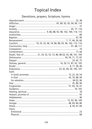## **Topical Index**

#### Devotions, prayers, Scripture, hymns

|        | Death, fear of  21, 24, 52, 53, 72, 86, 88 (2), 93, 98, 101, 104 |
|--------|------------------------------------------------------------------|
|        |                                                                  |
|        |                                                                  |
|        |                                                                  |
|        |                                                                  |
|        |                                                                  |
| Faith  |                                                                  |
|        |                                                                  |
|        |                                                                  |
|        |                                                                  |
|        |                                                                  |
|        |                                                                  |
|        |                                                                  |
|        |                                                                  |
|        |                                                                  |
|        |                                                                  |
|        |                                                                  |
|        |                                                                  |
|        |                                                                  |
| Injury |                                                                  |
|        |                                                                  |
|        |                                                                  |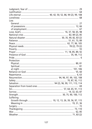| Loss       |    |
|------------|----|
|            |    |
|            |    |
|            |    |
|            |    |
|            |    |
|            |    |
|            |    |
|            |    |
|            |    |
|            | 55 |
|            |    |
|            |    |
|            |    |
| Protection |    |
|            |    |
|            |    |
|            |    |
|            |    |
|            |    |
|            |    |
|            |    |
|            |    |
|            |    |
|            |    |
|            |    |
|            |    |
| Suffering  |    |
|            |    |
|            |    |
|            |    |
|            |    |
|            |    |
|            |    |